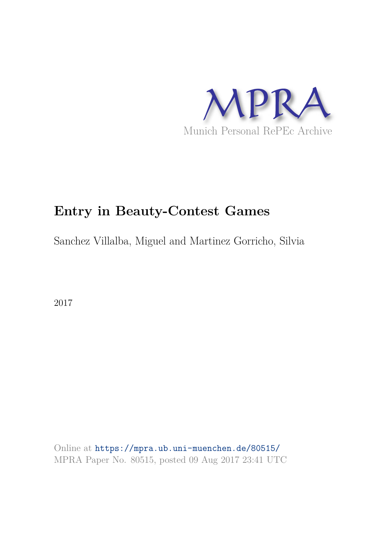

# **Entry in Beauty-Contest Games**

Sanchez Villalba, Miguel and Martinez Gorricho, Silvia

2017

Online at https://mpra.ub.uni-muenchen.de/80515/ MPRA Paper No. 80515, posted 09 Aug 2017 23:41 UTC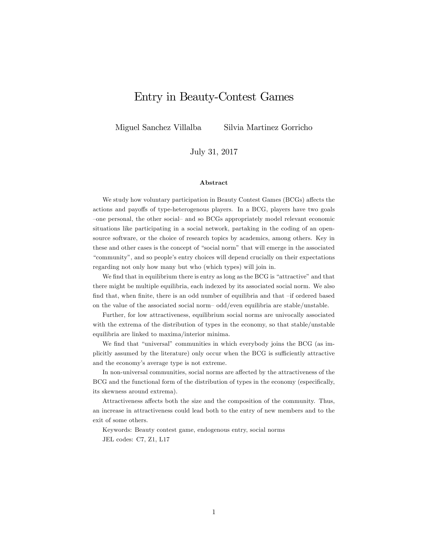# Entry in Beauty-Contest Games

Miguel Sanchez Villalba Silvia Martinez Gorricho

July 31, 2017

#### Abstract

We study how voluntary participation in Beauty Contest Games (BCGs) affects the actions and payoffs of type-heterogenous players. In a BCG, players have two goals -one personal, the other social- and so BCGs appropriately model relevant economic situations like participating in a social network, partaking in the coding of an opensource software, or the choice of research topics by academics, among others. Key in these and other cases is the concept of "social norm" that will emerge in the associated "community", and so people's entry choices will depend crucially on their expectations regarding not only how many but who (which types) will join in.

We find that in equilibrium there is entry as long as the BCG is "attractive" and that there might be multiple equilibria, each indexed by its associated social norm. We also find that, when finite, there is an odd number of equilibria and that  $-$ if ordered based on the value of the associated social norm- $odd/even$  equilibria are stable/unstable.

Further, for low attractiveness, equilibrium social norms are univocally associated with the extrema of the distribution of types in the economy, so that stable/unstable equilibria are linked to maxima/interior minima.

We find that "universal" communities in which everybody joins the BCG (as implicitly assumed by the literature) only occur when the BCG is sufficiently attractive and the economy's average type is not extreme.

In non-universal communities, social norms are affected by the attractiveness of the BCG and the functional form of the distribution of types in the economy (especifically, its skewness around extrema).

Attractiveness affects both the size and the composition of the community. Thus, an increase in attractiveness could lead both to the entry of new members and to the exit of some others.

Keywords: Beauty contest game, endogenous entry, social norms JEL codes: C7, Z1, L17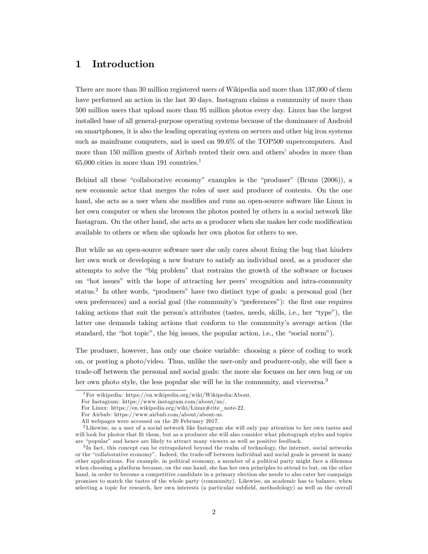# 1 Introduction

There are more than 30 million registered users of Wikipedia and more than 137,000 of them have performed an action in the last 30 days. Instagram claims a community of more than 500 million users that upload more than 95 million photos every day. Linux has the largest installed base of all general-purpose operating systems because of the dominance of Android on smartphones, it is also the leading operating system on servers and other big iron systems such as mainframe computers, and is used on 99.6% of the TOP500 supercomputers. And more than 150 million guests of Airbnb rented their own and others' abodes in more than  $65,000$  cities in more than 191 countries.<sup>1</sup>

Behind all these "collaborative economy" examples is the "produser" (Bruns  $(2006)$ ), a new economic actor that merges the roles of user and producer of contents. On the one hand, she acts as a user when she modifies and runs an open-source software like Linux in her own computer or when she browses the photos posted by others in a social network like Instagram. On the other hand, she acts as a producer when she makes her code modification available to others or when she uploads her own photos for others to see.

But while as an open-source software user she only cares about fixing the bug that hinders her own work or developing a new feature to satisfy an individual need, as a producer she attempts to solve the "big problem" that restrains the growth of the software or focuses on "hot issues" with the hope of attracting her peers' recognition and intra-community status.<sup>2</sup> In other words, "produsers" have two distinct type of goals: a personal goal (her own preferences) and a social goal (the community's "preferences"): the first one requires taking actions that suit the person's attributes (tastes, needs, skills, i.e., her "type"), the latter one demands taking actions that conform to the community's average action (the standard, the "hot topic", the big issues, the popular action, i.e., the "social norm").

The produser, however, has only one choice variable: choosing a piece of coding to work on, or posting a photo/video. Thus, unlike the user-only and producer-only, she will face a trade-off between the personal and social goals: the more she focuses on her own bug or on her own photo style, the less popular she will be in the community, and viceversa.<sup>3</sup>

<sup>1</sup>For wikipedia: https://en.wikipedia.org/wiki/Wikipedia:About.

For Instagram: https://www.instagram.com/about/us/.

For Linux: https://en.wikipedia.org/wiki/Linux#cite\_note-22.

For Airbnb: https://www.airbnb.com/about/about-us.

All webpages were accessed on the 20 February 2017.

<sup>2</sup>Likewise, as a user of a social network like Instagram she will only pay attention to her own tastes and will look for photos that Öt them, but as a producer she will also consider what photograph styles and topics are "popular" and hence are likely to attract many viewers as well as positive feedback.

<sup>&</sup>lt;sup>3</sup>In fact, this concept can be extrapolated beyond the realm of technology, the internet, social networks or the "collaborative economy". Indeed, the trade-off between individual and social goals is present in many other applications. For example, in political economy, a member of a political party might face a dilemma when choosing a platform because, on the one hand, she has her own principles to attend to but, on the other hand, in order to become a competitive candidate in a primary election she needs to also cater her campaign promises to match the tastes of the whole party (community). Likewise, an academic has to balance, when selecting a topic for research, her own interests (a particular subfield, methodology) as well as the overall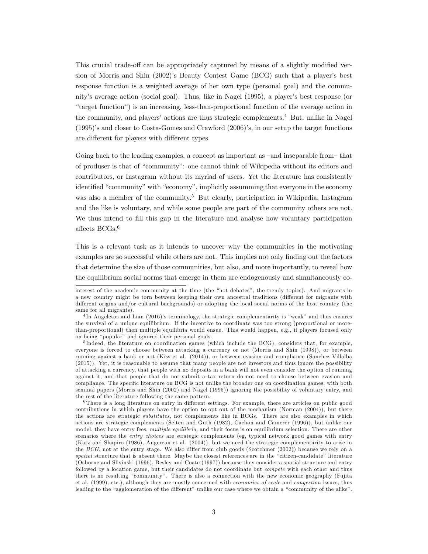This crucial trade-off can be appropriately captured by means of a slightly modified version of Morris and Shin  $(2002)$ 's Beauty Contest Game  $(BCG)$  such that a player's best response function is a weighted average of her own type (personal goal) and the community's average action (social goal). Thus, like in Nagel (1995), a player's best response (or ìtarget functionì) is an increasing, less-than-proportional function of the average action in the community, and players' actions are thus strategic complements.<sup>4</sup> But, unlike in Nagel  $(1995)$ 's and closer to Costa-Gomes and Crawford  $(2006)$ 's, in our setup the target functions are different for players with different types.

Going back to the leading examples, a concept as important as -and inseparable from that of produser is that of "community": one cannot think of Wikipedia without its editors and contributors, or Instagram without its myriad of users. Yet the literature has consistently identified "community" with "economy", implicitly assumming that everyone in the economy was also a member of the community.<sup>5</sup> But clearly, participation in Wikipedia, Instagram and the like is voluntary, and while some people are part of the community others are not. We thus intend to fill this gap in the literature and analyse how voluntary participation affects  $BCGs^{6}$ 

This is a relevant task as it intends to uncover why the communities in the motivating examples are so successful while others are not. This implies not only finding out the factors that determine the size of those communities, but also, and more importantly, to reveal how the equilibrium social norms that emerge in them are endogenously and simultaneously co-

 $6$ There is a long literature on entry in different settings. For example, there are articles on public good contributions in which players have the option to opt out of the mechanism (Norman (2004)), but there the actions are strategic *substitutes*, not complements like in BCGs. There are also examples in which actions are strategic complements (Selten and Guth (1982), Cachon and Camerer (1996)), but unlike our model, they have entry fees, multiple equilibria, and their focus is on equilibrium selection. There are other scenarios where the entry choices are strategic complements (eg, typical network good games with entry (Katz and Shapiro (1986), Augereau et al. (2004)), but we need the strategic complementarity to arise in the BCG, not at the entry stage. We also differ from club goods (Scotchmer (2002)) because we rely on a spatial structure that is absent there. Maybe the closest references are in the "citizen-candidate" literature (Osborne and Slivinski (1996), Besley and Coate (1997)) because they consider a spatial structure and entry followed by a location game, but their candidates do not coordinate but *compete* with each other and thus there is no resulting "community". There is also a connection with the new economic geography (Fujita et al. (1999), etc.), although they are mostly concerned with economies of scale and congestion issues, thus leading to the "agglomeration of the different" unlike our case where we obtain a "community of the alike".

interest of the academic community at the time (the "hot debates", the trendy topics). And migrants in a new country might be torn between keeping their own ancestral traditions (different for migrants with different origins and/or cultural backgrounds) or adopting the local social norms of the host country (the same for all migrants).

<sup>&</sup>lt;sup>4</sup>In Angeletos and Lian (2016)'s terminology, the strategic complementarity is "weak" and thus ensures the survival of a unique equilibrium. If the incentive to coordinate was too strong (proportional or morethan-proportional) then multiple equilibria would ensue. This would happen, e.g., if players focused only on being "popular" and ignored their personal goals.

<sup>&</sup>lt;sup>5</sup>Indeed, the literature on coordination games (which include the BCG), considers that, for example, everyone is forced to choose between attacking a currency or not (Morris and Shin (1998)), or between running against a bank or not (Kiss et al. (2014)), or between evasion and compliance (Sanchez Villalba (2015)). Yet, it is reasonable to assume that many people are not investors and thus ignore the possibility of attacking a currency, that people with no deposits in a bank will not even consider the option of running against it, and that people that do not submit a tax return do not need to choose between evasion and compliance. The specific literature on BCG is not unlike the broader one on coordination games, with both seminal papers (Morris and Shin (2002) and Nagel (1995)) ignoring the possibility of voluntary entry, and the rest of the literature following the same pattern.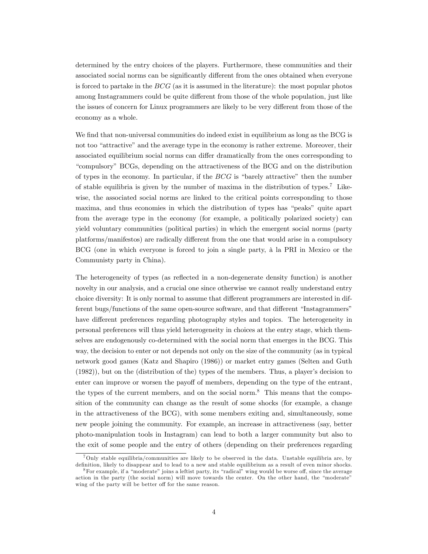determined by the entry choices of the players. Furthermore, these communities and their associated social norms can be significantly different from the ones obtained when everyone is forced to partake in the  $BCG$  (as it is assumed in the literature): the most popular photos among Instagrammers could be quite different from those of the whole population, just like the issues of concern for Linux programmers are likely to be very different from those of the economy as a whole.

We find that non-universal communities do indeed exist in equilibrium as long as the BCG is not too "attractive" and the average type in the economy is rather extreme. Moreover, their associated equilibrium social norms can differ dramatically from the ones corresponding to ìcompulsoryî BCGs, depending on the attractiveness of the BCG and on the distribution of types in the economy. In particular, if the  $BCG$  is "barely attractive" then the number of stable equilibria is given by the number of maxima in the distribution of types.<sup>7</sup> Likewise, the associated social norms are linked to the critical points corresponding to those maxima, and thus economies in which the distribution of types has "peaks" quite apart from the average type in the economy (for example, a politically polarized society) can yield voluntary communities (political parties) in which the emergent social norms (party platforms/manifestos) are radically different from the one that would arise in a compulsory BCG (one in which everyone is forced to join a single party, à la PRI in Mexico or the Communisty party in China).

The heterogeneity of types (as reflected in a non-degenerate density function) is another novelty in our analysis, and a crucial one since otherwise we cannot really understand entry choice diversity: It is only normal to assume that different programmers are interested in different bugs/functions of the same open-source software, and that different "Instagrammers" have different preferences regarding photography styles and topics. The heterogeneity in personal preferences will thus yield heterogeneity in choices at the entry stage, which themselves are endogenously co-determined with the social norm that emerges in the BCG. This way, the decision to enter or not depends not only on the size of the community (as in typical network good games (Katz and Shapiro (1986)) or market entry games (Selten and Guth  $(1982)$ ), but on the (distribution of the) types of the members. Thus, a player's decision to enter can improve or worsen the payoff of members, depending on the type of the entrant, the types of the current members, and on the social norm.<sup>8</sup> This means that the composition of the community can change as the result of some shocks (for example, a change in the attractiveness of the BCG), with some members exiting and, simultaneously, some new people joining the community. For example, an increase in attractiveness (say, better photo-manipulation tools in Instagram) can lead to both a larger community but also to the exit of some people and the entry of others (depending on their preferences regarding

<sup>7</sup>Only stable equilibria/communities are likely to be observed in the data. Unstable equilibria are, by definition, likely to disappear and to lead to a new and stable equilibrium as a result of even minor shocks.

 $8$ For example, if a "moderate" joins a leftist party, its "radical" wing would be worse off, since the average action in the party (the social norm) will move towards the center. On the other hand, the "moderate" wing of the party will be better off for the same reason.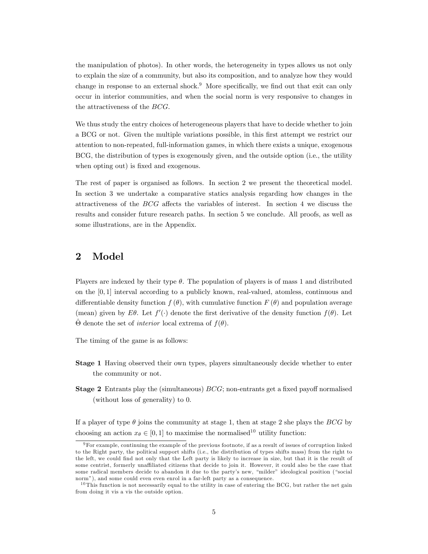the manipulation of photos). In other words, the heterogeneity in types allows us not only to explain the size of a community, but also its composition, and to analyze how they would change in response to an external shock.<sup>9</sup> More specifically, we find out that exit can only occur in interior communities, and when the social norm is very responsive to changes in the attractiveness of the BCG.

We thus study the entry choices of heterogeneous players that have to decide whether to join a BCG or not. Given the multiple variations possible, in this Örst attempt we restrict our attention to non-repeated, full-information games, in which there exists a unique, exogenous BCG, the distribution of types is exogenously given, and the outside option (i.e., the utility when opting out) is fixed and exogenous.

The rest of paper is organised as follows. In section 2 we present the theoretical model. In section 3 we undertake a comparative statics analysis regarding how changes in the attractiveness of the  $BCG$  affects the variables of interest. In section 4 we discuss the results and consider future research paths. In section 5 we conclude. All proofs, as well as some illustrations, are in the Appendix.

# 2 Model

Players are indexed by their type  $\theta$ . The population of players is of mass 1 and distributed on the  $[0, 1]$  interval according to a publicly known, real-valued, atomless, continuous and differentiable density function  $f(\theta)$ , with cumulative function  $F(\theta)$  and population average (mean) given by E $\theta$ . Let  $f'(\cdot)$  denote the first derivative of the density function  $f(\theta)$ . Let  $\hat{\Theta}$  denote the set of *interior* local extrema of  $f(\theta)$ .

The timing of the game is as follows:

- Stage 1 Having observed their own types, players simultaneously decide whether to enter the community or not.
- **Stage 2** Entrants play the (simultaneous)  $BCG$ ; non-entrants get a fixed payoff normalised (without loss of generality) to 0.

If a player of type  $\theta$  joins the community at stage 1, then at stage 2 she plays the BCG by choosing an action  $x_{\theta} \in [0, 1]$  to maximise the normalised<sup>10</sup> utility function:

 $9$ For example, continuing the example of the previous footnote, if as a result of issues of corruption linked to the Right party, the political support shifts (i.e., the distribution of types shifts mass) from the right to the left, we could find not only that the Left party is likely to increase in size, but that it is the result of some centrist, formerly unaffiliated citizens that decide to join it. However, it could also be the case that some radical members decide to abandon it due to the party's new, "milder" ideological position ("social norm"), and some could even even enrol in a far-left party as a consequence.

 $10$  This function is not necessarily equal to the utility in case of entering the BCG, but rather the net gain from doing it vis a vis the outside option.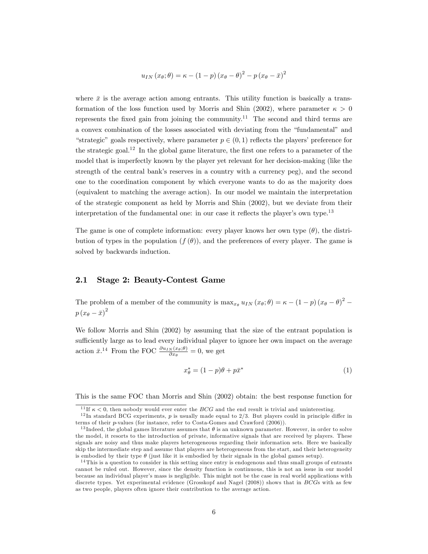$$
u_{IN}(x_{\theta};\theta) = \kappa - (1-p)(x_{\theta} - \theta)^{2} - p(x_{\theta} - \bar{x})^{2}
$$

where  $\bar{x}$  is the average action among entrants. This utility function is basically a transformation of the loss function used by Morris and Shin (2002), where parameter  $\kappa > 0$ represents the fixed gain from joining the community.<sup>11</sup> The second and third terms are a convex combination of the losses associated with deviating from the "fundamental" and "strategic" goals respectively, where parameter  $p \in (0, 1)$  reflects the players' preference for the strategic goal.<sup>12</sup> In the global game literature, the first one refers to a parameter of the model that is imperfectly known by the player yet relevant for her decision-making (like the strength of the central bank's reserves in a country with a currency peg), and the second one to the coordination component by which everyone wants to do as the majority does (equivalent to matching the average action). In our model we maintain the interpretation of the strategic component as held by Morris and Shin (2002), but we deviate from their interpretation of the fundamental one: in our case it reflects the player's own type.<sup>13</sup>

The game is one of complete information: every player knows her own type  $(\theta)$ , the distribution of types in the population  $(f(\theta))$ , and the preferences of every player. The game is solved by backwards induction.

### 2.1 Stage 2: Beauty-Contest Game

The problem of a member of the community is  $\max_{x_{\theta}} u_{IN}(x_{\theta};\theta) = \kappa - (1-p)(x_{\theta} - \theta)^2$  $p(x_{\theta}-\bar{x})^2$ 

We follow Morris and Shin (2002) by assuming that the size of the entrant population is sufficiently large as to lead every individual player to ignore her own impact on the average action  $\bar{x}$ .<sup>14</sup> From the FOC  $\frac{\partial u_{IN}(x_{\theta};\theta)}{\partial x_{\theta}} = 0$ , we get

$$
x_{\theta}^* = (1 - p)\theta + p\bar{x}^*
$$
\n<sup>(1)</sup>

This is the same FOC than Morris and Shin (2002) obtain: the best response function for

<sup>&</sup>lt;sup>11</sup>If  $\kappa$  < 0, then nobody would ever enter the *BCG* and the end result is trivial and uninteresting.

<sup>&</sup>lt;sup>12</sup>In standard BCG experiments, p is usually made equal to  $2/3$ . But players could in principle differ in terms of their p-values (for instance, refer to Costa-Gomes and Crawford (2006)).

<sup>&</sup>lt;sup>13</sup>Indeed, the global games literature assumes that  $\theta$  is an unknown parameter. However, in order to solve the model, it resorts to the introduction of private, informative signals that are received by players. These signals are noisy and thus make players heterogeneous regarding their information sets. Here we basically skip the intermediate step and assume that players are heterogeneous from the start, and their heterogeneity is embodied by their type  $\theta$  (just like it is embodied by their signals in the global games setup).

<sup>&</sup>lt;sup>14</sup>This is a question to consider in this setting since entry is endogenous and thus small groups of entrants cannot be ruled out. However, since the density function is continuous, this is not an issue in our model because an individual player's mass is negligible. This might not be the case in real world applications with discrete types. Yet experimental evidence (Grosskopf and Nagel (2008)) shows that in BCGs with as few as two people, players often ignore their contribution to the average action.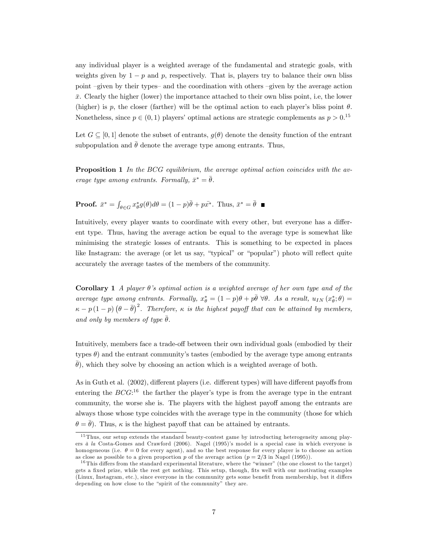any individual player is a weighted average of the fundamental and strategic goals, with weights given by  $1 - p$  and p, respectively. That is, players try to balance their own bliss point  $-given$  by their types- and the coordination with others  $-given$  by the average action  $\bar{x}$ . Clearly the higher (lower) the importance attached to their own bliss point, i.e, the lower (higher) is p, the closer (farther) will be the optimal action to each player's bliss point  $\theta$ . Nonetheless, since  $p \in (0, 1)$  players' optimal actions are strategic complements as  $p > 0.15$ 

Let  $G \subseteq [0,1]$  denote the subset of entrants,  $g(\theta)$  denote the density function of the entrant subpopulation and  $\bar{\theta}$  denote the average type among entrants. Thus,

**Proposition 1** In the BCG equilibrium, the average optimal action coincides with the average type among entrants. Formally,  $\bar{x}^* = \bar{\theta}$ .

**Proof.** 
$$
\bar{x}^* = \int_{\theta \in G} x^*_{\theta} g(\theta) d\theta = (1 - p)\bar{\theta} + p\bar{x^*}.
$$
 Thus,  $\bar{x}^* = \bar{\theta}$ 

Intuitively, every player wants to coordinate with every other, but everyone has a different type. Thus, having the average action be equal to the average type is somewhat like minimising the strategic losses of entrants. This is something to be expected in places like Instagram: the average (or let us say, "typical" or "popular") photo will reflect quite accurately the average tastes of the members of the community.

**Corollary 1** A player  $\theta$ 's optimal action is a weighted average of her own type and of the average type among entrants. Formally,  $x_{\theta}^* = (1-p)\theta + p\bar{\theta} \ \forall \theta$ . As a result,  $u_{IN}(x_{\theta}^*;\theta) =$  $\kappa - p(1-p)(\theta - \bar{\theta})^2$ . Therefore,  $\kappa$  is the highest payoff that can be attained by members, and only by members of type  $\bar{\theta}$ .

Intuitively, members face a trade-off between their own individual goals (embodied by their types  $\theta$ ) and the entrant community's tastes (embodied by the average type among entrants  $(\theta)$ , which they solve by choosing an action which is a weighted average of both.

As in Guth et al.  $(2002)$ , different players (i.e. different types) will have different payoffs from entering the  $BCG$ :<sup>16</sup> the farther the player's type is from the average type in the entrant community, the worse she is. The players with the highest payoff among the entrants are always those whose type coincides with the average type in the community (those for which  $\theta = \theta$ ). Thus,  $\kappa$  is the highest payoff that can be attained by entrants.

<sup>&</sup>lt;sup>15</sup> Thus, our setup extends the standard beauty-contest game by introducting heterogeneity among players  $\dot{a}$  la Costa-Gomes and Crawford (2006). Nagel (1995)'s model is a special case in which everyone is homogeneous (i.e.  $\theta = 0$  for every agent), and so the best response for every player is to choose an action as close as possible to a given proportion p of the average action  $(p = 2/3$  in Nagel (1995)).

 $^{16}$ This differs from the standard experimental literature, where the "winner" (the one closest to the target) gets a fixed prize, while the rest get nothing. This setup, though, fits well with our motivating examples (Linux, Instagram, etc.), since everyone in the community gets some benefit from membership, but it differs depending on how close to the "spirit of the community" they are.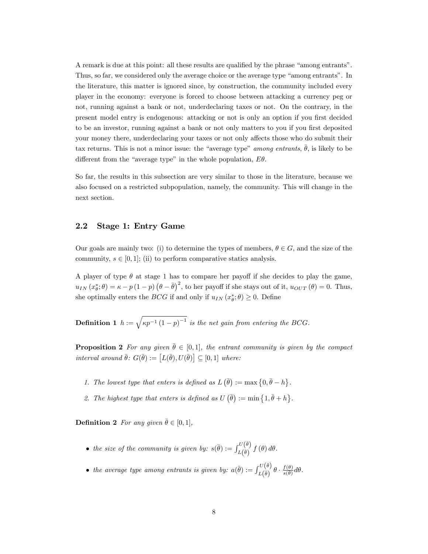A remark is due at this point: all these results are qualified by the phrase "among entrants". Thus, so far, we considered only the average choice or the average type "among entrants". In the literature, this matter is ignored since, by construction, the community included every player in the economy: everyone is forced to choose between attacking a currency peg or not, running against a bank or not, underdeclaring taxes or not. On the contrary, in the present model entry is endogenous: attacking or not is only an option if you first decided to be an investor, running against a bank or not only matters to you if you first deposited your money there, underdeclaring your taxes or not only affects those who do submit their tax returns. This is not a minor issue: the "average type" among entrants,  $\bar{\theta}$ , is likely to be different from the "average type" in the whole population,  $E\theta$ .

So far, the results in this subsection are very similar to those in the literature, because we also focused on a restricted subpopulation, namely, the community. This will change in the next section.

### 2.2 Stage 1: Entry Game

Our goals are mainly two: (i) to determine the types of members,  $\theta \in G$ , and the size of the community,  $s \in [0, 1]$ ; (ii) to perform comparative statics analysis.

A player of type  $\theta$  at stage 1 has to compare her payoff if she decides to play the game,  $u_{IN}(x_{\theta}^*;\theta) = \kappa - p(1-p)(\theta - \bar{\theta})^2$ , to her payoff if she stays out of it,  $u_{OUT}(\theta) = 0$ . Thus, she optimally enters the *BCG* if and only if  $u_{IN}(x^*_{\theta};\theta) \geq 0$ . Define

**Definition 1**  $h := \sqrt{\kappa p^{-1} (1-p)^{-1}}$  is the net gain from entering the BCG.

**Proposition 2** For any given  $\bar{\theta} \in [0, 1]$ , the entrant community is given by the compact interval around  $\bar{\theta}$ :  $G(\bar{\theta}) := [L(\bar{\theta}), U(\bar{\theta})] \subseteq [0,1]$  where:

- 1. The lowest type that enters is defined as  $L(\bar{\theta}) := \max\{0,\bar{\theta}-h\}.$
- 2. The highest type that enters is defined as  $U(\bar{\theta}) := \min\{1,\bar{\theta}+h\}.$

**Definition 2** For any given  $\bar{\theta} \in [0, 1]$ ,

- the size of the community is given by:  $s(\bar{\theta}) := \int_{L(\bar{\theta})}^{U(\bar{\theta})} f(\theta) d\theta$ .
- the average type among entrants is given by:  $a(\bar{\theta}) := \int_{L(\bar{\theta})}^{U(\bar{\theta})} \theta \cdot \frac{f(\theta)}{s(\theta)} d\theta$ .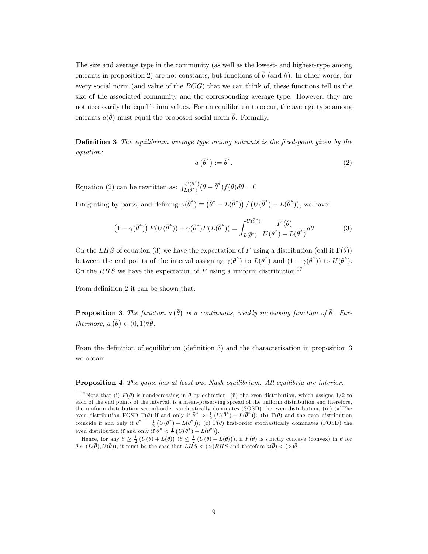The size and average type in the community (as well as the lowest- and highest-type among entrants in proposition 2) are not constants, but functions of  $\bar{\theta}$  (and h). In other words, for every social norm (and value of the  $BCG$ ) that we can think of, these functions tell us the size of the associated community and the corresponding average type. However, they are not necessarily the equilibrium values. For an equilibrium to occur, the average type among entrants  $a(\bar{\theta})$  must equal the proposed social norm  $\bar{\theta}$ . Formally,

**Definition 3** The equilibrium average type among entrants is the fixed-point given by the equation:

$$
a\left(\bar{\theta}^*\right) := \bar{\theta}^*.
$$
 (2)

Equation (2) can be rewritten as:  $\int_{L(\bar{\theta}^*)}^{U(\bar{\theta}^*)} (\theta - \bar{\theta}^*) f(\theta) d\theta = 0$ 

Integrating by parts, and defining  $\gamma(\bar{\theta}^*) \equiv (\bar{\theta}^* - L(\bar{\theta}^*)) / (U(\bar{\theta}^*) - L(\bar{\theta}^*))$ , we have:

$$
(1 - \gamma(\bar{\theta}^*)) F(U(\bar{\theta}^*)) + \gamma(\bar{\theta}^*) F(L(\bar{\theta}^*)) = \int_{L(\bar{\theta}^*)}^{U(\bar{\theta}^*)} \frac{F(\theta)}{U(\bar{\theta}^*) - L(\bar{\theta}^*)} d\theta \tag{3}
$$

On the LHS of equation (3) we have the expectation of F using a distribution (call it  $\Gamma(\theta)$ ) between the end points of the interval assigning  $\gamma(\bar{\theta}^*)$  to  $L(\bar{\theta}^*)$  and  $(1 - \gamma(\bar{\theta}^*))$  to  $U(\bar{\theta}^*)$ . On the RHS we have the expectation of F using a uniform distribution.<sup>17</sup>

From definition 2 it can be shown that:

**Proposition 3** The function  $a(\bar{\theta})$  is a continuous, weakly increasing function of  $\bar{\theta}$ . Furthermore,  $a\left(\bar{\theta}\right) \in (0,1) \forall \bar{\theta}$ .

From the definition of equilibrium (definition 3) and the characterisation in proposition 3 we obtain:

#### **Proposition 4** The game has at least one Nash equilibrium. All equilibria are interior.

Hence, for any  $\bar{\theta} \geq \frac{1}{2} \left( U(\bar{\theta}) + L(\bar{\theta}) \right)$   $(\bar{\theta} \leq \frac{1}{2} \left( U(\bar{\theta}) + L(\bar{\theta}) \right))$ , if  $F(\theta)$  is strictly concave (convex) in  $\theta$  for  $\theta \in (L(\bar{\theta}), U(\bar{\theta}))$ , it must be the case that  $LHS < (>)RHS$  and therefore  $a(\bar{\theta}) < (>)\bar{\theta}$ .

<sup>&</sup>lt;sup>17</sup>Note that (i)  $F(\theta)$  is nondecreasing in  $\theta$  by definition; (ii) the even distribution, which assigns 1/2 to each of the end points of the interval, is a mean-preserving spread of the uniform distribution and therefore, the uniform distribution second-order stochastically dominates (SOSD) the even distribution; (iii) (a)The even distribution FOSD  $\Gamma(\theta)$  if and only if  $\bar{\theta}^* > \frac{1}{2} (U(\bar{\theta}^*) + L(\bar{\theta}^*))$ ; (b)  $\Gamma(\theta)$  and the even distribution coincide if and only if  $\bar{\theta}^* = \frac{1}{2} (U(\bar{\theta}^*) + L(\bar{\theta}^*))$ ; (c)  $\Gamma(\theta)$  first-order stochastically dominates (FOSD) the even distribution if and only if  $\vec{\theta}^* < \frac{1}{2} (U(\vec{\theta}^*) + L(\vec{\theta}^*))$ .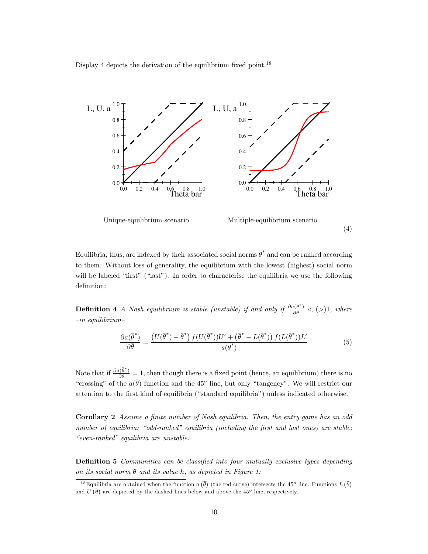Display 4 depicts the derivation of the equilibrium fixed point.<sup>18</sup>



Equilibria, thus, are indexed by their associated social norms  $\bar{\theta}^*$  and can be ranked according to them. Without loss of generality, the equilibrium with the lowest (highest) social norm will be labeled "first" ("last"). In order to characterise the equilibria we use the following definition:

**Definition 4** A Nash equilibrium is stable (unstable) if and only if  $\frac{\partial a(\bar{\theta}^*)}{\partial \bar{\theta}} < (>)1$ , where  $-in$  equilibrium

$$
\frac{\partial a(\bar{\theta}^*)}{\partial \bar{\theta}} = \frac{\left(U(\bar{\theta}^*) - \bar{\theta}^*\right) f(U(\bar{\theta}^*))U' + \left(\bar{\theta}^* - L(\bar{\theta}^*)\right) f(L(\bar{\theta}^*))L'}{s(\bar{\theta}^*)}
$$
(5)

Note that if  $\frac{\partial a(\bar{\theta}^*)}{\partial \bar{\theta}} = 1$ , then though there is a fixed point (hence, an equilibrium) there is no "crossing" of the  $a(\bar{\theta})$  function and the 45° line, but only "tangency". We will restrict our attention to the first kind of equilibria ("standard equilibria") unless indicated otherwise.

Corollary 2 Assume a finite number of Nash equilibria. Then, the entry game has an odd number of equilibria: "odd-ranked" equilibria (including the first and last ones) are stable; ìeven-rankedî equilibria are unstable.

**Definition 5** Communities can be classified into four mutually exclusive types depending on its social norm  $\bar{\theta}$  and its value h, as depicted in Figure 1:

<sup>&</sup>lt;sup>18</sup>Equilibria are obtained when the function  $a(\bar{\theta})$  (the red curve) intersects the 45<sup>o</sup> line. Functions  $L(\bar{\theta})$ and  $U(\bar{\theta})$  are depicted by the dashed lines below and above the 45<sup>o</sup> line, respectively.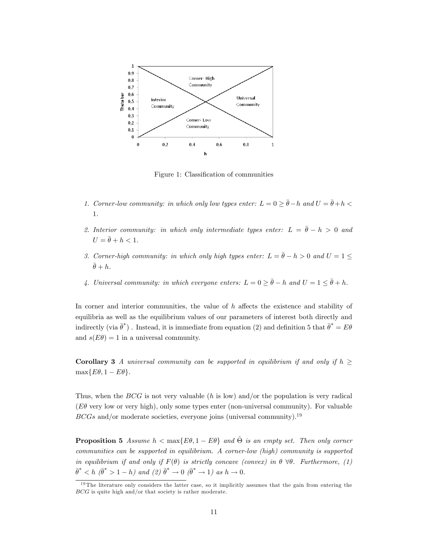

Figure 1: Classification of communities

- 1. Corner-low community: in which only low types enter:  $L = 0 \ge \bar{\theta} h$  and  $U = \bar{\theta} + h$ 1.
- 2. Interior community: in which only intermediate types enter:  $L = \bar{\theta} h > 0$  and  $U = \overline{\theta} + h < 1.$
- 3. Corner-high community: in which only high types enter:  $L = \bar{\theta} h > 0$  and  $U = 1 \leq$  $\bar{\theta} + h.$
- 4. Universal community: in which everyone enters:  $L = 0 \ge \bar{\theta} h$  and  $U = 1 \le \bar{\theta} + h$ .

In corner and interior communities, the value of  $h$  affects the existence and stability of equilibria as well as the equilibrium values of our parameters of interest both directly and indirectly (via  $\bar{\theta}^*$ ). Instead, it is immediate from equation (2) and definition 5 that  $\bar{\theta}^* = E\theta$ and  $s(E\theta) = 1$  in a universal community.

**Corollary 3** A universal community can be supported in equilibrium if and only if  $h \geq$  $\max\{E\theta, 1 - E\theta\}.$ 

Thus, when the  $BCG$  is not very valuable (h is low) and/or the population is very radical ( $E\theta$  very low or very high), only some types enter (non-universal community). For valuable  $BCGs$  and/or moderate societies, everyone joins (universal community).<sup>19</sup>

**Proposition 5** Assume  $h < \max\{E\theta, 1 - E\theta\}$  and  $\hat{\Theta}$  is an empty set. Then only corner communities can be supported in equilibrium. A corner-low (high) community is supported in equilibrium if and only if  $F(\theta)$  is strictly concave (convex) in  $\theta \forall \theta$ . Furthermore, (1)  $\bar{\theta}^*$  < h  $(\bar{\theta}^* > 1 - h)$  and  $(2)$   $\bar{\theta}^* \to 0$   $(\bar{\theta}^* \to 1)$  as  $h \to 0$ .

 $19$  The literature only considers the latter case, so it implicitly assumes that the gain from entering the BCG is quite high and/or that society is rather moderate.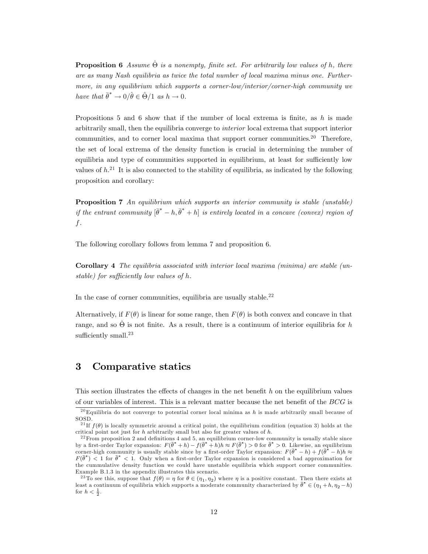**Proposition 6** Assume  $\hat{\Theta}$  is a nonempty, finite set. For arbitrarily low values of h, there are as many Nash equilibria as twice the total number of local maxima minus one. Furthermore, in any equilibrium which supports a corner-low/interior/corner-high community we have that  $\bar{\theta}^* \to 0/\hat{\theta} \in \hat{\Theta}/1$  as  $h \to 0$ .

Propositions 5 and 6 show that if the number of local extrema is finite, as  $h$  is made arbitrarily small, then the equilibria converge to interior local extrema that support interior communities, and to corner local maxima that support corner communities.<sup>20</sup> Therefore, the set of local extrema of the density function is crucial in determining the number of equilibria and type of communities supported in equilibrium, at least for sufficiently low values of  $h^{21}$ . It is also connected to the stability of equilibria, as indicated by the following proposition and corollary:

**Proposition 7** An equilibrium which supports an interior community is stable (unstable) if the entrant community  $[\bar{\theta}^* - h, \bar{\theta}^* + h]$  is entirely located in a concave (convex) region of f.

The following corollary follows from lemma 7 and proposition 6.

Corollary 4 The equilibria associated with interior local maxima (minima) are stable (unstable) for sufficiently low values of  $h$ .

In the case of corner communities, equilibria are usually stable.<sup>22</sup>

Alternatively, if  $F(\theta)$  is linear for some range, then  $F(\theta)$  is both convex and concave in that range, and so  $\hat{\Theta}$  is not finite. As a result, there is a continuum of interior equilibria for h sufficiently small. $23$ 

# 3 Comparative statics

This section illustrates the effects of changes in the net benefit  $h$  on the equilibrium values of our variables of interest. This is a relevant matter because the net benefit of the  $BCG$  is

<sup>&</sup>lt;sup>20</sup>Equilibria do not converge to potential corner local minima as h is made arbitrarily small because of SOSD.

<sup>&</sup>lt;sup>21</sup> If  $f(\theta)$  is locally symmetric around a critical point, the equilibrium condition (equation 3) holds at the critical point not just for  $h$  arbitrarily small but also for greater values of  $h$ .

 $22$  From proposition 2 and definitions 4 and 5, an equilibrium corner-low community is usually stable since by a first-order Taylor expansion:  $F(\bar{\theta}^* + h) - f(\bar{\theta}^* + h)h \approx F(\bar{\theta}^*) > 0$  for  $\bar{\theta}^* > 0$ . Likewise, an equilibrium corner-high community is usually stable since by a first-order Taylor expansion:  $F(\bar{\theta}^* - h) + f(\bar{\theta}^* - h)h \approx$  $F(\vec{\theta}^*) < 1$  for  $\vec{\theta}^* < 1$ . Only when a first-order Taylor expansion is considered a bad approximation for the cummulative density function we could have unstable equilibria which support corner communities. Example B.1.3 in the appendix illustrates this scenario.

<sup>&</sup>lt;sup>23</sup>To see this, suppose that  $f(\theta) = \eta$  for  $\theta \in (\eta_1, \eta_2)$  where  $\eta$  is a positive constant. Then there exists at least a continuum of equilibria which supports a moderate community characterized by  $\bar{\theta}^* \in (\eta_1 + h, \eta_2 - h)$ for  $h < \frac{1}{2}$ .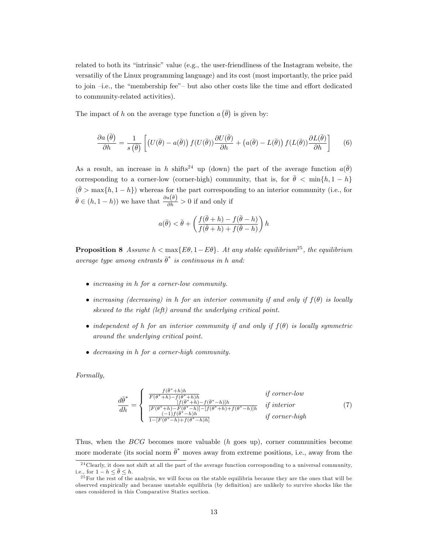related to both its "intrinsic" value (e.g., the user-friendliness of the Instagram website, the versatiliy of the Linux programming language) and its cost (most importantly, the price paid to join  $-i.e.,$  the "membership fee" but also other costs like the time and effort dedicated to community-related activities).

The impact of h on the average type function  $a\left(\bar{\theta}\right)$  is given by:

$$
\frac{\partial a(\bar{\theta})}{\partial h} = \frac{1}{s(\bar{\theta})} \left[ \left( U(\bar{\theta}) - a(\bar{\theta}) \right) f(U(\bar{\theta})) \frac{\partial U(\bar{\theta})}{\partial h} + \left( a(\bar{\theta}) - L(\bar{\theta}) \right) f(L(\bar{\theta})) \frac{\partial L(\bar{\theta})}{\partial h} \right] \tag{6}
$$

As a result, an increase in h shifts<sup>24</sup> up (down) the part of the average function  $a(\bar{\theta})$ corresponding to a corner-low (corner-high) community, that is, for  $\bar{\theta} < \min\{h, 1 - h\}$  $(\bar{\theta} > \max\{h, 1 - h\})$  whereas for the part corresponding to an interior community (i.e., for  $\bar{\theta} \in (h, 1-h)$  we have that  $\frac{\partial a(\bar{\theta})}{\partial h} > 0$  if and only if

$$
a(\bar{\theta}) < \bar{\theta} + \left(\frac{f(\bar{\theta}+h) - f(\bar{\theta}-h)}{f(\bar{\theta}+h) + f(\bar{\theta}-h)}\right)h
$$

**Proposition 8** Assume  $h < \max\{E\theta, 1 - E\theta\}$ . At any stable equilibrium<sup>25</sup>, the equilibrium average type among entrants  $\bar{\theta}^*$  is continuous in h and:

- increasing in h for a corner-low community.
- increasing (decreasing) in h for an interior community if and only if  $f(\theta)$  is locally skewed to the right (left) around the underlying critical point.
- independent of h for an interior community if and only if  $f(\theta)$  is locally symmetric around the underlying critical point.
- decreasing in h for a corner-high community.

Formally,

$$
\frac{d\bar{\theta}^*}{dh} = \begin{cases}\n\frac{f(\bar{\theta}^* + h)h}{F(\bar{\theta}^* + h) - f(\bar{\theta}^* + h)h} & \text{if corner-low} \\
\frac{f(\bar{\theta}^* + h) - f(\bar{\theta}^* - h)|h}{[F(\bar{\theta}^* + h) - F(\bar{\theta}^* - h)] - [f(\bar{\theta}^* + h) + f(\bar{\theta}^* - h)]h} & \text{if interior} \\
\frac{(-1)f(\bar{\theta}^* - h)h}{1 - [F(\bar{\theta}^* - h) + f(\bar{\theta}^* - h)h]} & \text{if corner-high}\n\end{cases}
$$
\n(7)

Thus, when the BCG becomes more valuable (h goes up), corner communities become more moderate (its social norm  $\bar{\theta}^*$  moves away from extreme positions, i.e., away from the

 $\overline{\hspace{2cm}^24}$ Clearly, it does not shift at all the part of the average function corresponding to a universal community, i.e., for  $1 - h \leq \bar{\theta} \leq h$ .

<sup>&</sup>lt;sup>25</sup> For the rest of the analysis, we will focus on the stable equilibria because they are the ones that will be observed empirically and because unstable equilibria (by definition) are unlikely to survive shocks like the ones considered in this Comparative Statics section.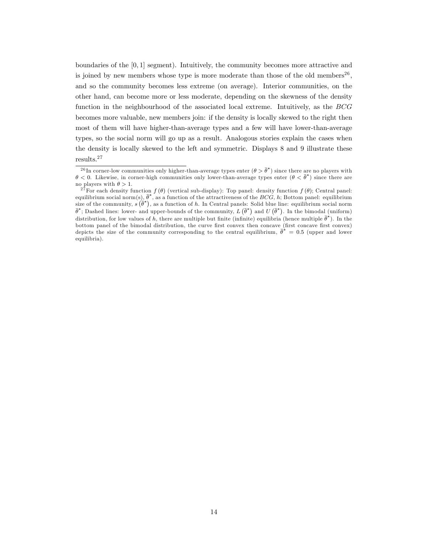boundaries of the  $[0, 1]$  segment). Intuitively, the community becomes more attractive and is joined by new members whose type is more moderate than those of the old members<sup>26</sup>, and so the community becomes less extreme (on average). Interior communities, on the other hand, can become more or less moderate, depending on the skewness of the density function in the neighbourhood of the associated local extreme. Intuitively, as the BCG becomes more valuable, new members join: if the density is locally skewed to the right then most of them will have higher-than-average types and a few will have lower-than-average types, so the social norm will go up as a result. Analogous stories explain the cases when the density is locally skewed to the left and symmetric. Displays 8 and 9 illustrate these results.<sup>27</sup>

<sup>&</sup>lt;sup>26</sup>In corner-low communities only higher-than-average types enter  $(\theta > \bar{\theta}^*)$  since there are no players with  $\theta$  < 0. Likewise, in corner-high communities only lower-than-average types enter  $(\theta \leq \theta^*)$  since there are no players with  $\theta > 1$ .

<sup>&</sup>lt;sup>27</sup> For each density function  $f(\theta)$  (vertical sub-display): Top panel: density function  $f(\theta)$ ; Central panel: equilibrium social norm(s),  $\bar{\theta}^*$ , as a function of the attractiveness of the BCG, h; Bottom panel: equilibrium size of the community,  $s(\vec{\theta}^*)$ , as a function of h. In Central panels: Solid blue line: equilibrium social norm  $\overline{\theta}^*$ ; Dashed lines: lower- and upper-bounds of the community,  $L(\overline{\theta}^*)$  and  $U(\overline{\theta}^*)$ . In the bimodal (uniform) distribution, for low values of h, there are multiple but finite (infinite) equilibria (hence multiple  $\bar{\theta}^*$ ). In the bottom panel of the bimodal distribution, the curve first convex then concave (first concave first convex) depicts the size of the community corresponding to the central equilibrium,  $\bar{\theta}^* = 0.5$  (upper and lower equilibria).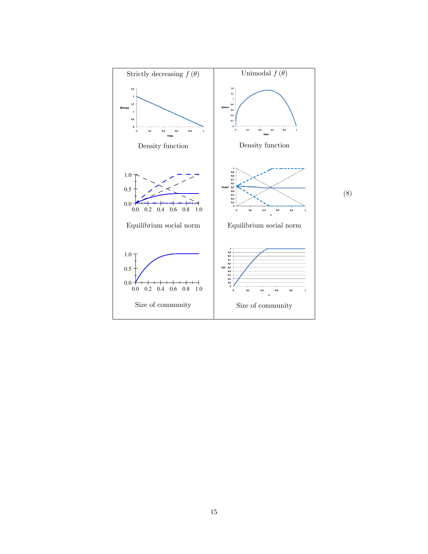

15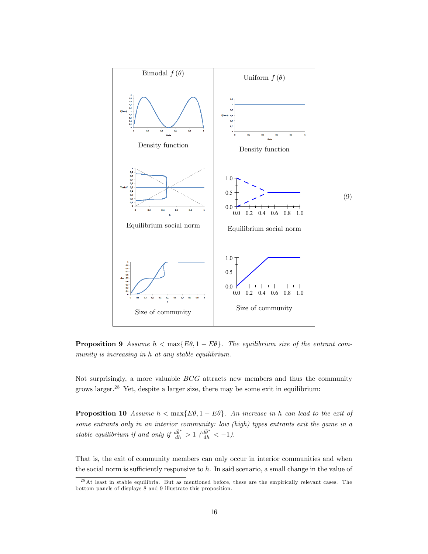

**Proposition 9** Assume  $h < \max\{E\theta, 1 - E\theta\}$ . The equilibrium size of the entrant community is increasing in h at any stable equilibrium.

Not surprisingly, a more valuable  $BCG$  attracts new members and thus the community grows larger.<sup>28</sup> Yet, despite a larger size, there may be some exit in equilibrium:

**Proposition 10** Assume  $h < \max\{E\theta, 1 - E\theta\}$ . An increase in h can lead to the exit of some entrants only in an interior community: low (high) types entrants exit the game in a stable equilibrium if and only if  $\frac{d\bar{\theta}^*}{dh} > 1$   $\left(\frac{d\bar{\theta}^*}{dh} < -1\right)$ .

That is, the exit of community members can only occur in interior communities and when the social norm is sufficiently responsive to  $h$ . In said scenario, a small change in the value of

<sup>2 8</sup>At least in stable equilibria. But as mentioned before, these are the empirically relevant cases. The bottom panels of displays 8 and 9 illustrate this proposition.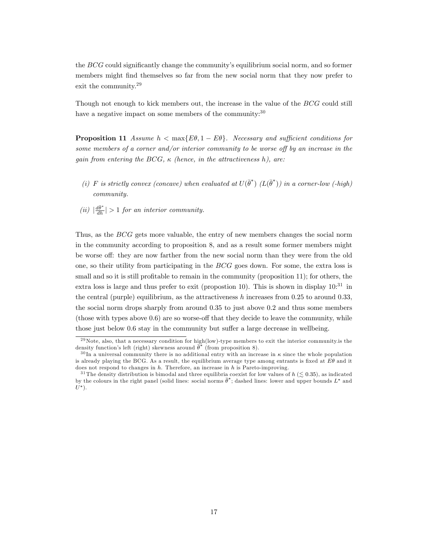the  $BCG$  could significantly change the community's equilibrium social norm, and so former members might Önd themselves so far from the new social norm that they now prefer to exit the community.<sup>29</sup>

Though not enough to kick members out, the increase in the value of the BCG could still have a negative impact on some members of the community: $30$ 

**Proposition 11** Assume  $h < \max\{E\theta, 1 - E\theta\}$ . Necessary and sufficient conditions for some members of a corner and/or interior community to be worse off by an increase in the gain from entering the BCG,  $\kappa$  (hence, in the attractiveness h), are:

- (i) F is strictly convex (concave) when evaluated at  $U(\bar{\theta}^*)$  ( $L(\bar{\theta}^*)$ ) in a corner-low (-high) community.
- (ii)  $\left|\frac{d\bar{\theta}^*}{dh}\right| > 1$  for an interior community.

Thus, as the BCG gets more valuable, the entry of new members changes the social norm in the community according to proposition 8, and as a result some former members might be worse off: they are now farther from the new social norm than they were from the old one, so their utility from participating in the BCG goes down. For some, the extra loss is small and so it is still profitable to remain in the community (proposition 11); for others, the extra loss is large and thus prefer to exit (propostion 10). This is shown in display  $10^{31}$  in the central (purple) equilibrium, as the attractiveness h increases from  $0.25$  to around  $0.33$ , the social norm drops sharply from around 0:35 to just above 0:2 and thus some members (those with types above  $0.6$ ) are so worse-off that they decide to leave the community, while those just below 0.6 stay in the community but suffer a large decrease in wellbeing.

<sup>&</sup>lt;sup>29</sup>Note, also, that a necessary condition for high(low)-type members to exit the interior community.is the density function's left (right) skewness around  $\bar{\theta}^*$  (from proposition 8).

 $30 \text{ In a universal community there is no additional entry with an increase in } \kappa \text{ since the whole population.}$ is already playing the BCG. As a result, the equilibrium average type among entrants is fixed at  $E\theta$  and it does not respond to changes in  $h$ . Therefore, an increase in  $h$  is Pareto-improving.

<sup>&</sup>lt;sup>31</sup> The density distribution is bimodal and three equilibria coexist for low values of  $h \leq 0.35$ ), as indicated by the colours in the right panel (solid lines: social norms  $\bar{\theta}^*$ ; dashed lines: lower and upper bounds  $L^*$  and  $L^*$  $U^*$ ).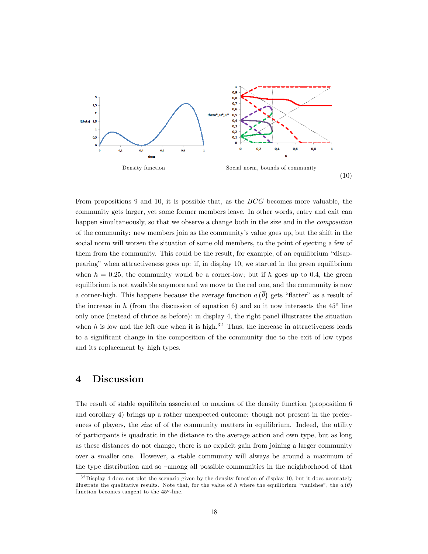

From propositions 9 and 10, it is possible that, as the BCG becomes more valuable, the community gets larger, yet some former members leave. In other words, entry and exit can happen simultaneously, so that we observe a change both in the size and in the *composition* of the community: new members join as the communityís value goes up, but the shift in the social norm will worsen the situation of some old members, to the point of ejecting a few of them from the community. This could be the result, for example, of an equilibrium "disappearingî when attractiveness goes up: if, in display 10, we started in the green equilibrium when  $h = 0.25$ , the community would be a corner-low; but if h goes up to 0.4, the green equilibrium is not available anymore and we move to the red one, and the community is now a corner-high. This happens because the average function  $a(\bar{\theta})$  gets "flatter" as a result of the increase in h (from the discussion of equation 6) and so it now intersects the  $45^{\circ}$  line only once (instead of thrice as before): in display 4, the right panel illustrates the situation when h is low and the left one when it is high.<sup>32</sup> Thus, the increase in attractiveness leads to a significant change in the composition of the community due to the exit of low types and its replacement by high types.

# 4 Discussion

The result of stable equilibria associated to maxima of the density function (proposition 6 and corollary 4) brings up a rather unexpected outcome: though not present in the preferences of players, the size of of the community matters in equilibrium. Indeed, the utility of participants is quadratic in the distance to the average action and own type, but as long as these distances do not change, there is no explicit gain from joining a larger community over a smaller one. However, a stable community will always be around a maximum of the type distribution and so  $-$ among all possible communities in the neighborhood of that

 $32$ Display 4 does not plot the scenario given by the density function of display 10, but it does accurately illustrate the qualitative results. Note that, for the value of h where the equilibrium "vanishes", the  $a(\theta)$ function becomes tangent to the  $45^o$ -line.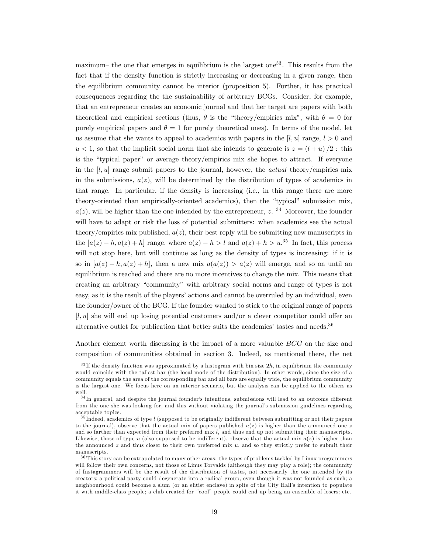maximum – the one that emerges in equilibrium is the largest one<sup>33</sup>. This results from the fact that if the density function is strictly increasing or decreasing in a given range, then the equilibrium community cannot be interior (proposition 5). Further, it has practical consequences regarding the the sustainability of arbitrary BCGs. Consider, for example, that an entrepreneur creates an economic journal and that her target are papers with both theoretical and empirical sections (thus,  $\theta$  is the "theory/empirics mix", with  $\theta = 0$  for purely empirical papers and  $\theta = 1$  for purely theoretical ones). In terms of the model, let us assume that she wants to appeal to academics with papers in the  $[l, u]$  range,  $l > 0$  and  $u < 1$ , so that the implicit social norm that she intends to generate is  $z = (l + u)/2$ : this is the "typical paper" or average theory/empirics mix she hopes to attract. If everyone in the  $[l, u]$  range submit papers to the journal, however, the *actual* theory/empirics mix in the submissions,  $a(z)$ , will be determined by the distribution of types of academics in that range. In particular, if the density is increasing (i.e., in this range there are more theory-oriented than empirically-oriented academics), then the "typical" submission mix,  $a(z)$ , will be higher than the one intended by the entrepreneur, z. <sup>34</sup> Moreover, the founder will have to adapt or risk the loss of potential submitters: when academics see the actual theory/empirics mix published,  $a(z)$ , their best reply will be submitting new manuscripts in the  $[a(z) - h, a(z) + h]$  range, where  $a(z) - h > l$  and  $a(z) + h > u^{0.35}$  In fact, this process will not stop here, but will continue as long as the density of types is increasing: if it is so in  $[a(z) - h, a(z) + h]$ , then a new mix  $a(a(z)) > a(z)$  will emerge, and so on until an equilibrium is reached and there are no more incentives to change the mix. This means that creating an arbitrary "community" with arbitrary social norms and range of types is not easy, as it is the result of the players' actions and cannot be overruled by an individual, even the founder/owner of the BCG. If the founder wanted to stick to the original range of papers  $[l, u]$  she will end up losing potential customers and/or a clever competitor could offer an alternative outlet for publication that better suits the academics' tastes and needs. $36$ 

Another element worth discussing is the impact of a more valuable BCG on the size and composition of communities obtained in section 3. Indeed, as mentioned there, the net

 $33$  If the density function was approximated by a histogram with bin size  $2h$ , in equilibrium the community would coincide with the tallest bar (the local mode of the distribution). In other words, since the size of a community equals the area of the corresponding bar and all bars are equally wide, the equilibrium community is the largest one. We focus here on an interior scenario, but the analysis can be applied to the others as well.

 $34$ In general, and despite the journal founder's intentions, submissions will lead to an outcome different from the one she was looking for, and this without violating the journal's submission guidelines regarding acceptable topics.

 $35$  Indeed, academics of type  $l$  (supposed to be originally indifferent between submitting or not their papers to the journal), observe that the actual mix of papers published  $a(z)$  is higher than the announced one z and so farther than expected from their preferred mix  $l$ , and thus end up not submitting their manuscripts. Likewise, those of type u (also supposed to be indifferent), observe that the actual mix  $a(z)$  is higher than the announced  $z$  and thus closer to their own preferred mix  $u$ , and so they strictly prefer to submit their manuscripts.

 $36$  This story can be extrapolated to many other areas: the types of problems tackled by Linux programmers will follow their own concerns, not those of Linus Torvalds (although they may play a role); the community of Instagrammers will be the result of the distribution of tastes, not necessarily the one intended by its creators; a political party could degenerate into a radical group, even though it was not founded as such; a neighbourhood could become a slum (or an elitist enclave) in spite of the City Hallís intention to populate it with middle-class people; a club created for "cool" people could end up being an ensemble of losers; etc.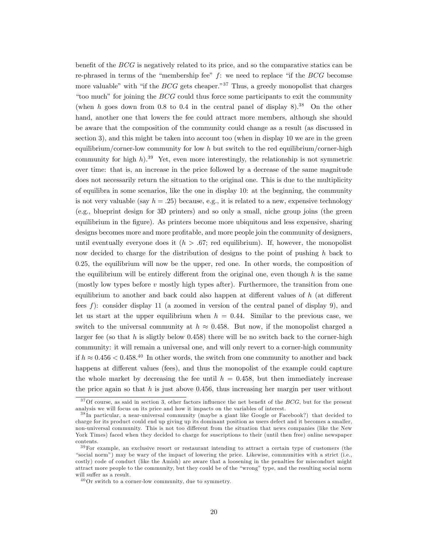benefit of the  $BCG$  is negatively related to its price, and so the comparative statics can be re-phrased in terms of the "membership fee" f: we need to replace "if the  $BCG$  becomse more valuable" with "if the *BCG* gets cheaper."<sup>37</sup> Thus, a greedy monopolist that charges "too much" for joining the  $BCG$  could thus force some participants to exit the community (when h goes down from 0.8 to 0.4 in the central panel of display  $8$ ).<sup>38</sup> On the other hand, another one that lowers the fee could attract more members, although she should be aware that the composition of the community could change as a result (as discussed in section 3), and this might be taken into account too (when in display 10 we are in the green equilibrium/corner-low community for low h but switch to the red equilibrium/corner-high community for high h).<sup>39</sup> Yet, even more interestingly, the relationship is not symmetric over time: that is, an increase in the price followed by a decrease of the same magnitude does not necessarily return the situation to the original one. This is due to the multiplicity of equilibra in some scenarios, like the one in display 10: at the beginning, the community is not very valuable (say  $h = .25$ ) because, e.g., it is related to a new, expensive technology (e.g., blueprint design for 3D printers) and so only a small, niche group joins (the green equilibrium in the figure). As printers become more ubiquitous and less expensive, sharing designs becomes more and more profitable, and more people join the community of designers, until eventually everyone does it  $(h > .67;$  red equilibrium). If, however, the monopolist now decided to charge for the distribution of designs to the point of pushing h back to 0:25, the equilibrium will now be the upper, red one. In other words, the composition of the equilibrium will be entirely different from the original one, even though  $h$  is the same (mostly low types before  $v$  mostly high types after). Furthermore, the transition from one equilibrium to another and back could also happen at different values of  $h$  (at different fees f): consider display 11 (a zoomed in version of the central panel of display 9), and let us start at the upper equilibrium when  $h = 0.44$ . Similar to the previous case, we switch to the universal community at  $h \approx 0.458$ . But now, if the monopolist charged a larger fee (so that h is sligtly below  $0.458$ ) there will be no switch back to the corner-high community: it will remain a universal one, and will only revert to a corner-high community if  $h \approx 0.456 < 0.458$ <sup>40</sup> In other words, the switch from one community to another and back happens at different values (fees), and thus the monopolist of the example could capture the whole market by decreasing the fee until  $h = 0.458$ , but then immediately increase the price again so that  $h$  is just above 0.456, thus increasing her margin per user without

 $37$ Of course, as said in section 3, other factors influence the net benefit of the BCG, but for the present analysis we will focus on its price and how it impacts on the variables of interest.

<sup>3 8</sup> In particular, a near-universal community (maybe a giant like Google or Facebook?) that decided to charge for its product could end up giving up its dominant position as users defect and it becomes a smaller, non-universal community. This is not too different from the situation that news companies (like the New York Times) faced when they decided to charge for suscriptions to their (until then free) online newspaper contents.

<sup>&</sup>lt;sup>39</sup>For example, an exclusive resort or restaurant intending to attract a certain type of customers (the ìsocial normî) may be wary of the impact of lowering the price. Likewise, communities with a strict (i.e., costly) code of conduct (like the Amish) are aware that a loosening in the penalties for misconduct might attract more people to the community, but they could be of the "wrong" type, and the resulting social norm will suffer as a result.

 $^{40}\mathrm{Or}$  switch to a corner-low community, due to symmetry.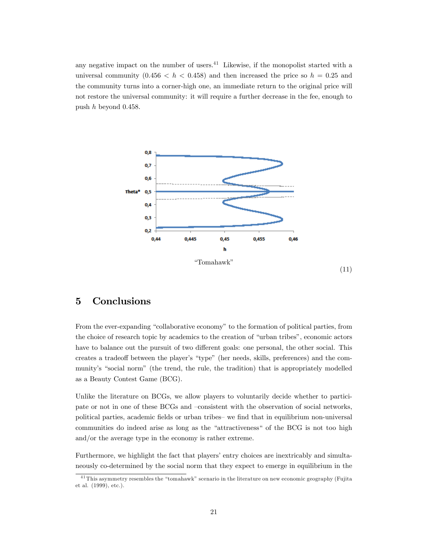any negative impact on the number of users. $^{41}$  Likewise, if the monopolist started with a universal community  $(0.456 < h < 0.458)$  and then increased the price so  $h = 0.25$  and the community turns into a corner-high one, an immediate return to the original price will not restore the universal community: it will require a further decrease in the fee, enough to push  $h$  beyond 0.458.



# 5 Conclusions

From the ever-expanding "collaborative economy" to the formation of political parties, from the choice of research topic by academics to the creation of "urban tribes", economic actors have to balance out the pursuit of two different goals: one personal, the other social. This creates a tradeoff between the player's "type" (her needs, skills, preferences) and the community's "social norm" (the trend, the rule, the tradition) that is appropriately modelled as a Beauty Contest Game (BCG).

Unlike the literature on BCGs, we allow players to voluntarily decide whether to participate or not in one of these BCGs and -consistent with the observation of social networks, political parties, academic fields or urban tribes— we find that in equilibrium non-universal communities do indeed arise as long as the "attractiveness" of the BCG is not too high and/or the average type in the economy is rather extreme.

Furthermore, we highlight the fact that players' entry choices are inextricably and simultaneously co-determined by the social norm that they expect to emerge in equilibrium in the

<sup>&</sup>lt;sup>41</sup> This asymmetry resembles the "tomahawk" scenario in the literature on new economic geography (Fujita et al. (1999), etc.).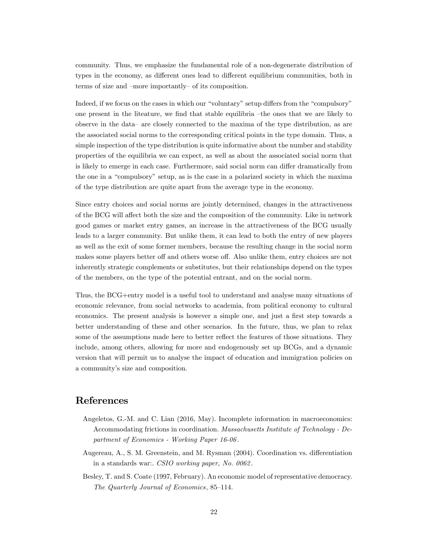community. Thus, we emphasize the fundamental role of a non-degenerate distribution of types in the economy, as different ones lead to different equilibrium communities, both in terms of size and  $-more$  importantly of its composition.

Indeed, if we focus on the cases in which our "voluntary" setup differs from the "compulsory" one present in the liteature, we find that stable equilibria  $-$ the ones that we are likely to observe in the data– are closely connected to the maxima of the type distribution, as are the associated social norms to the corresponding critical points in the type domain. Thus, a simple inspection of the type distribution is quite informative about the number and stability properties of the equilibria we can expect, as well as about the associated social norm that is likely to emerge in each case. Furthermore, said social norm can differ dramatically from the one in a "compulsory" setup, as is the case in a polarized society in which the maxima of the type distribution are quite apart from the average type in the economy.

Since entry choices and social norms are jointly determined, changes in the attractiveness of the BCG will affect both the size and the composition of the community. Like in network good games or market entry games, an increase in the attractiveness of the BCG usually leads to a larger community. But unlike them, it can lead to both the entry of new players as well as the exit of some former members, because the resulting change in the social norm makes some players better off and others worse off. Also unlike them, entry choices are not inherently strategic complements or substitutes, but their relationships depend on the types of the members, on the type of the potential entrant, and on the social norm.

Thus, the BCG+entry model is a useful tool to understand and analyse many situations of economic relevance, from social networks to academia, from political economy to cultural economics. The present analysis is however a simple one, and just a first step towards a better understanding of these and other scenarios. In the future, thus, we plan to relax some of the assumptions made here to better reflect the features of those situations. They include, among others, allowing for more and endogenously set up BCGs, and a dynamic version that will permit us to analyse the impact of education and immigration policies on a community's size and composition.

# References

- Angeletos, G.-M. and C. Lian (2016, May). Incomplete information in macroeconomics: Accommodating frictions in coordination. Massachusetts Institute of Technology - Department of Economics - Working Paper 16-06 .
- Augereau, A., S. M. Greenstein, and M. Rysman (2004). Coordination vs. differentiation in a standards war:. CSIO working paper, No. 0062 .
- Besley, T. and S. Coate (1997, February). An economic model of representative democracy. The Quarterly Journal of Economics, 85–114.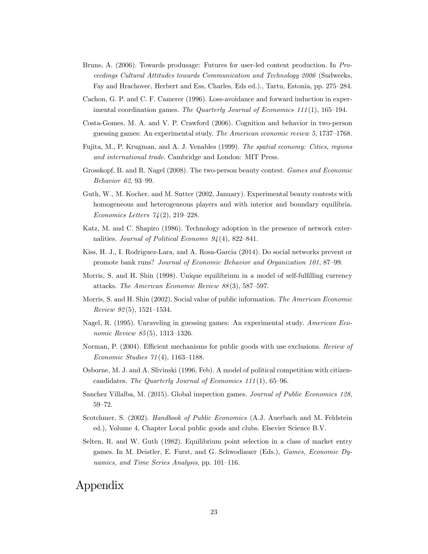- Bruns, A. (2006). Towards produsage: Futures for user-led content production. In Proceedings Cultural Attitudes towards Communication and Technology 2006 (Sudweeks, Fay and Hrachovec, Herbert and Ess, Charles, Eds ed.)., Tartu, Estonia, pp. 275–284.
- Cachon, G. P. and C. F. Camerer (1996). Loss-avoidance and forward induction in experimental coordination games. The Quarterly Journal of Economics  $111(1)$ , 165–194.
- Costa-Gomes, M. A. and V. P. Crawford (2006). Cognition and behavior in two-person guessing games: An experimental study. The American economic review  $5,1737-1768$ .
- Fujita, M., P. Krugman, and A. J. Venables (1999). The spatial economy: Cities, regions and international trade. Cambridge and London: MIT Press.
- Grosskopf, B. and R. Nagel (2008). The two-person beauty contest. Games and Economic Behavior 62, 93-99.
- Guth, W., M. Kocher, and M. Sutter (2002, January). Experimental beauty contests with homogeneous and heterogeneous players and with interior and boundary equilibria. Economics Letters  $74(2)$ , 219–228.
- Katz, M. and C. Shapiro (1986). Technology adoption in the presence of network externalities. Journal of Political Economy  $94(4)$ , 822-841.
- Kiss, H. J., I. Rodriguez-Lara, and A. Rosa-Garcia (2014). Do social networks prevent or promote bank runs? Journal of Economic Behavior and Organization 101, 87-99.
- Morris, S. and H. Shin (1998). Unique equilibrium in a model of self-fulfilling currency attacks. The American Economic Review  $88(3)$ , 587–597.
- Morris, S. and H. Shin (2002). Social value of public information. The American Economic  $Review 92(5), 1521-1534.$
- Nagel, R. (1995). Unraveling in guessing games: An experimental study. American Economic Review  $85(5)$ , 1313-1326.
- Norman, P. (2004). Efficient mechanisms for public goods with use exclusions. Review of Economic Studies  $71(4)$ , 1163–1188.
- Osborne, M. J. and A. Slivinski (1996, Feb). A model of political competition with citizencandidates. The Quarterly Journal of Economics  $111(1)$ , 65-96.
- Sanchez Villalba, M. (2015). Global inspection games. Journal of Public Economics 128, 59-72.
- Scotchmer, S. (2002). *Handbook of Public Economics* (A.J. Auerbach and M. Feldstein ed.), Volume 4, Chapter Local public goods and clubs. Elsevier Science B.V.
- Selten, R. and W. Guth (1982). Equilibrium point selection in a class of market entry games. In M. Deistler, E. Furst, and G. Schwodiauer (Eds.), Games, Economic Dynamics, and Time Series Analysis, pp. 101–116.

# Appendix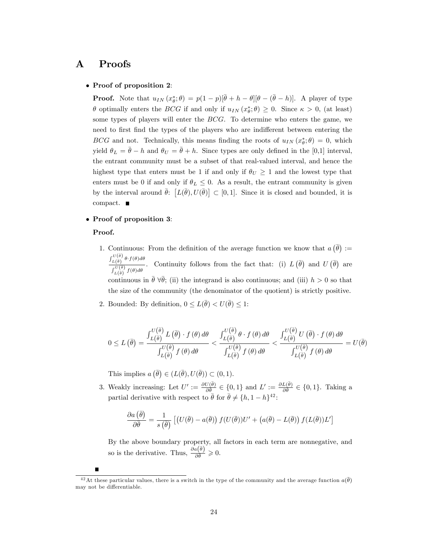# A Proofs

#### • Proof of proposition 2:

**Proof.** Note that  $u_{IN}(x^*_{\theta};\theta) = p(1-p)[\bar{\theta} + h - \theta][\theta - (\bar{\theta} - h)]$ . A player of type  $\theta$  optimally enters the BCG if and only if  $u_{IN}(x^*_{\theta};\theta) \geq 0$ . Since  $\kappa > 0$ , (at least) some types of players will enter the BCG. To determine who enters the game, we need to first find the types of the players who are indifferent between entering the BCG and not. Technically, this means finding the roots of  $u_{IN}(x^*_{\theta};\theta) = 0$ , which yield  $\theta_L = \bar{\theta} - h$  and  $\theta_U = \bar{\theta} + h$ . Since types are only defined in the [0,1] interval, the entrant community must be a subset of that real-valued interval, and hence the highest type that enters must be 1 if and only if  $\theta_U \geq 1$  and the lowest type that enters must be 0 if and only if  $\theta_L \leq 0$ . As a result, the entrant community is given by the interval around  $\bar{\theta}$ :  $[L(\bar{\theta}), U(\bar{\theta})] \subset [0, 1]$ . Since it is closed and bounded, it is compact.

### Proof of proposition 3:

#### Proof.

- 1. Continuous: From the definition of the average function we know that  $a(\bar{\theta}) :=$  $\int_{L(\bar{\theta})}^{U(\bar{\theta})} \theta \cdot f(\theta) d\theta$  $L(\bar{\theta}) \to \int_{L(\bar{\theta})}^{U(\bar{\theta})} f(\theta) d\theta$ . Continuity follows from the fact that: (i)  $L(\bar{\theta})$  and  $U(\bar{\theta})$  are continuous in  $\bar{\theta} \,\forall \bar{\theta}$ ; (ii) the integrand is also continuous; and (iii)  $h > 0$  so that the size of the community (the denominator of the quotient) is strictly positive.
- 2. Bounded: By definition,  $0 \leq L(\bar{\theta}) < U(\bar{\theta}) \leq 1$ :

$$
0 \le L(\bar{\theta}) = \frac{\int_{L(\bar{\theta})}^{U(\bar{\theta})} L(\bar{\theta}) \cdot f(\theta) d\theta}{\int_{L(\bar{\theta})}^{U(\bar{\theta})} f(\theta) d\theta} < \frac{\int_{L(\bar{\theta})}^{U(\bar{\theta})} \theta \cdot f(\theta) d\theta}{\int_{L(\bar{\theta})}^{U(\bar{\theta})} f(\theta) d\theta} < \frac{\int_{L(\bar{\theta})}^{U(\bar{\theta})} U(\bar{\theta}) \cdot f(\theta) d\theta}{\int_{L(\bar{\theta})}^{U(\bar{\theta})} f(\theta) d\theta} = U(\bar{\theta})
$$

This implies  $a(\bar{\theta}) \in (L(\bar{\theta}), U(\bar{\theta})) \subset (0, 1)$ .

3. Weakly increasing: Let  $U' := \frac{\partial U(\bar{\theta})}{\partial \bar{\theta}} \in \{0,1\}$  and  $L' := \frac{\partial L(\bar{\theta})}{\partial \bar{\theta}} \in \{0,1\}$ . Taking a partial derivative with respect to  $\bar{\theta}$  for  $\bar{\theta} \neq \{h, 1 - h\}^{42}$ :

$$
\frac{\partial a(\bar{\theta})}{\partial \bar{\theta}} = \frac{1}{s(\bar{\theta})} \left[ \left( U(\bar{\theta}) - a(\bar{\theta}) \right) f(U(\bar{\theta})) U' + \left( a(\bar{\theta}) - L(\bar{\theta}) \right) f(L(\bar{\theta})) L' \right]
$$

By the above boundary property, all factors in each term are nonnegative, and so is the derivative. Thus,  $\frac{\partial a(\bar{\theta})}{\partial \bar{\theta}} \geq 0$ .

<sup>&</sup>lt;sup>42</sup>At these particular values, there is a switch in the type of the community and the average function  $a(\bar{\theta})$ may not be differentiable.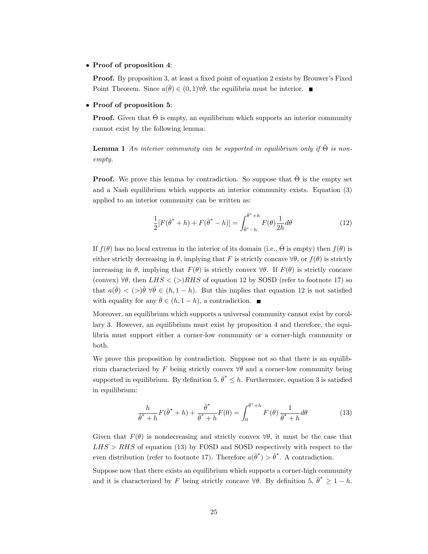### • Proof of proposition 4:

**Proof.** By proposition 3, at least a fixed point of equation 2 exists by Brouwer's Fixed Point Theorem. Since  $a(\bar{\theta}) \in (0,1) \forall \bar{\theta}$ , the equilibria must be interior.

#### • Proof of proposition 5:

**Proof.** Given that  $\hat{\Theta}$  is empty, an equilibrium which supports an interior community cannot exist by the following lemma:

**Lemma 1** An interior community can be supported in equilibrium only if  $\hat{\Theta}$  is nonempty.

**Proof.** We prove this lemma by contradiction. So suppose that  $\hat{\Theta}$  is the empty set and a Nash equilibrium which supports an interior community exists. Equation (3) applied to an interior community can be written as:

$$
\frac{1}{2}[F(\bar{\theta}^* + h) + F(\bar{\theta}^* - h)] = \int_{\bar{\theta}^* - h}^{\bar{\theta}^* + h} F(\theta) \frac{1}{2h} d\theta \tag{12}
$$

If  $f(\theta)$  has no local extrema in the interior of its domain (i.e.,  $\hat{\Theta}$  is empty) then  $f(\theta)$  is either strictly decreasing in  $\theta$ , implying that F is strictly concave  $\forall \theta$ , or  $f(\theta)$  is strictly increasing in  $\theta$ , implying that  $F(\theta)$  is strictly convex  $\forall \theta$ . If  $F(\theta)$  is strictly concave (convex)  $\forall \theta$ , then LHS < (>)RHS of equation 12 by SOSD (refer to footnote 17) so that  $a(\bar{\theta}) < (>\bar{\theta}) \forall \bar{\theta} \in (h, 1-h)$ . But this implies that equation 12 is not satisfied with equality for any  $\bar{\theta} \in (h, 1 - h)$ , a contradiction.

Moreover, an equilibrium which supports a universal community cannot exist by corollary 3. However, an equilibrium must exist by proposition 4 and therefore, the equilibria must support either a corner-low community or a corner-high community or both.

We prove this proposition by contradiction. Suppose not so that there is an equilibrium characterized by F being strictly convex  $\forall \theta$  and a corner-low community being supported in equilibrium. By definition  $5, \bar{\theta}^* \leq h$ . Furthermore, equation 3 is satisfied in equilibrium:

$$
\frac{h}{\bar{\theta}^* + h} F(\bar{\theta}^* + h) + \frac{\bar{\theta}^*}{\bar{\theta}^* + h} F(0) = \int_0^{\bar{\theta}^* + h} F(\theta) \frac{1}{\bar{\theta}^* + h} d\theta \tag{13}
$$

Given that  $F(\theta)$  is nondecreasing and strictly convex  $\forall \theta$ , it must be the case that  $LHS > RHS$  of equation (13) by FOSD and SOSD respectively with respect to the even distribution (refer to footnote 17). Therefore  $a(\bar{\theta}^*) > \bar{\theta}^*$ . A contradiction.

Suppose now that there exists an equilibrium which supports a corner-high community and it is characterized by F being strictly concave  $\forall \theta$ . By definition 5,  $\bar{\theta}^* \geq 1 - h$ .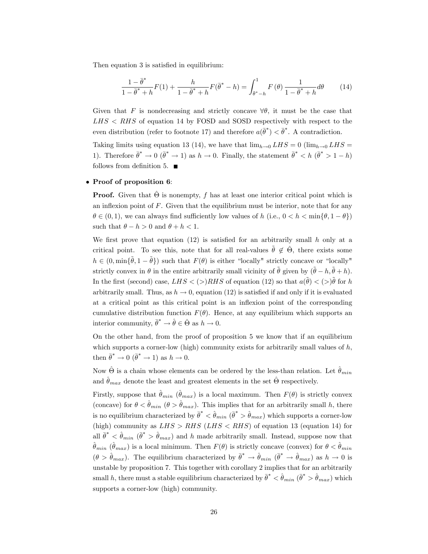Then equation 3 is satisfied in equilibrium:

$$
\frac{1 - \bar{\theta}^*}{1 - \bar{\theta}^* + h} F(1) + \frac{h}{1 - \bar{\theta}^* + h} F(\bar{\theta}^* - h) = \int_{\bar{\theta}^* - h}^{1} F(\theta) \frac{1}{1 - \bar{\theta}^* + h} d\theta \tag{14}
$$

Given that F is nondecreasing and strictly concave  $\forall \theta$ , it must be the case that  $L$ HS  $\lt$  RHS of equation 14 by FOSD and SOSD respectively with respect to the even distribution (refer to footnote 17) and therefore  $a(\bar{\theta}^*) < \bar{\theta}^*$ . A contradiction.

Taking limits using equation 13 (14), we have that  $\lim_{h\to 0} LHS = 0$  ( $\lim_{h\to 0} LHS =$ 1). Therefore  $\bar{\theta}^* \to 0$  ( $\bar{\theta}^* \to 1$ ) as  $h \to 0$ . Finally, the statement  $\bar{\theta}^* < h$  ( $\bar{\theta}^* > 1 - h$ ) follows from definition 5.  $\blacksquare$ 

#### • Proof of proposition 6:

**Proof.** Given that  $\hat{\Theta}$  is nonempty, f has at least one interior critical point which is an inflexion point of  $F$ . Given that the equilibrium must be interior, note that for any  $\theta \in (0, 1)$ , we can always find sufficiently low values of h (i.e.,  $0 < h < \min\{\theta, 1 - \theta\}$ ) such that  $\theta - h > 0$  and  $\theta + h < 1$ .

We first prove that equation  $(12)$  is satisfied for an arbitrarily small h only at a critical point. To see this, note that for all real-values  $\tilde{\theta} \notin \hat{\Theta}$ , there exists some  $h \in (0, \min\{\tilde{\theta}, 1-\tilde{\theta}\})$  such that  $F(\theta)$  is either "locally" strictly concave or "locally" strictly convex in  $\theta$  in the entire arbitrarily small vicinity of  $\tilde{\theta}$  given by  $(\tilde{\theta} - h, \tilde{\theta} + h)$ . In the first (second) case,  $LHS < (>)RHS$  of equation (12) so that  $a(\tilde{\theta}) < (>)\tilde{\theta}$  for h arbitrarily small. Thus, as  $h \to 0$ , equation (12) is satisfied if and only if it is evaluated at a critical point as this critical point is an inflexion point of the corresponding cumulative distribution function  $F(\theta)$ . Hence, at any equilibrium which supports an interior community,  $\bar{\theta}^* \to \hat{\theta} \in \hat{\Theta}$  as  $h \to 0$ .

On the other hand, from the proof of proposition 5 we know that if an equilibrium which supports a corner-low (high) community exists for arbitrarily small values of  $h$ , then  $\bar{\theta}^* \to 0 \; (\bar{\theta}^* \to 1)$  as  $h \to 0$ .

Now  $\hat{\Theta}$  is a chain whose elements can be ordered by the less-than relation. Let  $\hat{\theta}_{min}$ and  $\hat{\theta}_{max}$  denote the least and greatest elements in the set  $\hat{\Theta}$  respectively.

Firstly, suppose that  $\hat{\theta}_{min}$  ( $\hat{\theta}_{max}$ ) is a local maximum. Then  $F(\theta)$  is strictly convex (concave) for  $\theta < \hat{\theta}_{min}$  ( $\theta > \hat{\theta}_{max}$ ). This implies that for an arbitrarily small h, there is no equilibrium characterized by  $\bar{\theta}^* < \hat{\theta}_{min}$  ( $\bar{\theta}^* > \hat{\theta}_{max}$ ) which supports a corner-low (high) community as  $LHS > RHS$  ( $LHS < RHS$ ) of equation 13 (equation 14) for all  $\bar{\theta}^* < \hat{\theta}_{min}$  ( $\bar{\theta}^* > \hat{\theta}_{max}$ ) and h made arbitrarily small. Instead, suppose now that  $\hat{\theta}_{min}$  ( $\hat{\theta}_{max}$ ) is a local minimum. Then  $F(\theta)$  is strictly concave (convex) for  $\theta < \hat{\theta}_{min}$  $(\theta > \hat{\theta}_{max})$ . The equilibrium characterized by  $\bar{\theta}^* \to \hat{\theta}_{min}$   $(\bar{\theta}^* \to \hat{\theta}_{max})$  as  $h \to 0$  is unstable by proposition 7. This together with corollary 2 implies that for an arbitrarily small h, there must a stable equilibrium characterized by  $\bar{\theta}^* < \hat{\theta}_{min}$   $(\bar{\theta}^* > \hat{\theta}_{max})$  which supports a corner-low (high) community.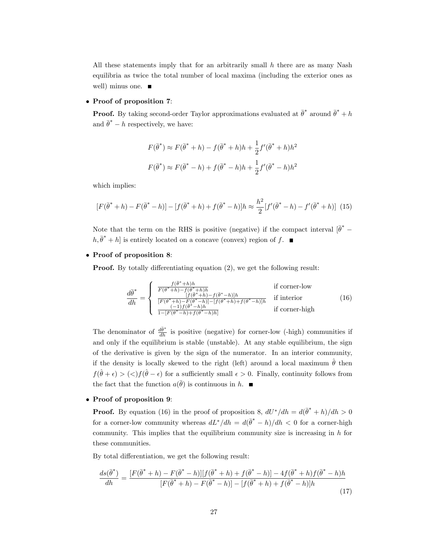All these statements imply that for an arbitrarily small  $h$  there are as many Nash equilibria as twice the total number of local maxima (including the exterior ones as well) minus one.

### • Proof of proposition 7:

**Proof.** By taking second-order Taylor approximations evaluated at  $\bar{\theta}^*$  around  $\bar{\theta}^* + h$ and  $\bar{\theta}^* - h$  respectively, we have:

$$
F(\bar{\theta}^*) \approx F(\bar{\theta}^* + h) - f(\bar{\theta}^* + h)h + \frac{1}{2}f'(\bar{\theta}^* + h)h^2
$$

$$
F(\bar{\theta}^*) \approx F(\bar{\theta}^* - h) + f(\bar{\theta}^* - h)h + \frac{1}{2}f'(\bar{\theta}^* - h)h^2
$$

which implies:

$$
[F(\bar{\theta}^* + h) - F(\bar{\theta}^* - h)] - [f(\bar{\theta}^* + h) + f(\bar{\theta}^* - h)]h \approx \frac{h^2}{2} [f'(\bar{\theta}^* - h) - f'(\bar{\theta}^* + h)] \tag{15}
$$

Note that the term on the RHS is positive (negative) if the compact interval  $[\bar{\theta}^* [h, \bar{\theta}^* + h]$  is entirely located on a concave (convex) region of f.

### Proof of proposition 8:

**Proof.** By totally differentiating equation  $(2)$ , we get the following result:

$$
\frac{d\bar{\theta}^*}{dh} = \begin{cases}\n\frac{f(\bar{\theta}^* + h)h}{F(\bar{\theta}^* + h) - f(\bar{\theta}^* + h)h} & \text{if corner-low} \\
\frac{f(\bar{\theta}^* + h) - f(\bar{\theta}^* - h)h}{[F(\bar{\theta}^* + h) - F(\bar{\theta}^* - h)] - [f(\bar{\theta}^* + h) + f(\bar{\theta}^* - h)]h} & \text{if interior} \\
\frac{(-1)f(\bar{\theta}^* - h)h}{1 - [F(\bar{\theta}^* - h) + f(\bar{\theta}^* - h)h]} & \text{if corner-high}\n\end{cases}
$$
\n(16)

The denominator of  $\frac{d\bar{\theta}^*}{dh}$  is positive (negative) for corner-low (-high) communities if and only if the equilibrium is stable (unstable). At any stable equilibrium, the sign of the derivative is given by the sign of the numerator. In an interior community, if the density is locally skewed to the right (left) around a local maximum  $\hat{\theta}$  then  $f(\hat{\theta} + \epsilon) > (\langle f(\hat{\theta} - \epsilon) \rangle)$  for a sufficiently small  $\epsilon > 0$ . Finally, continuity follows from the fact that the function  $a(\bar{\theta})$  is continuous in h.

#### • Proof of proposition 9:

**Proof.** By equation (16) in the proof of proposition 8,  $dU^*/dh = d(\bar{\theta}^* + h)/dh > 0$ for a corner-low community whereas  $dL^*/dh = d(\bar{\theta}^* - h)/dh < 0$  for a corner-high community. This implies that the equilibrium community size is increasing in  $h$  for these communities.

By total differentiation, we get the following result:

$$
\frac{ds(\bar{\theta}^*)}{dh} = \frac{[F(\bar{\theta}^* + h) - F(\bar{\theta}^* - h)][f(\bar{\theta}^* + h) + f(\bar{\theta}^* - h)] - 4f(\bar{\theta}^* + h)f(\bar{\theta}^* - h)h}{[F(\bar{\theta}^* + h) - F(\bar{\theta}^* - h)] - [f(\bar{\theta}^* + h) + f(\bar{\theta}^* - h)]h}
$$
(17)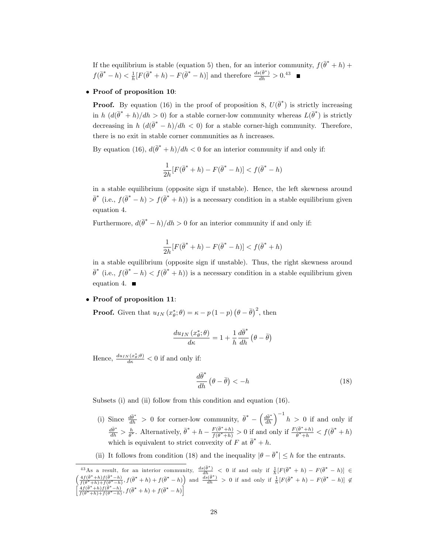If the equilibrium is stable (equation 5) then, for an interior community,  $f(\bar{\theta}^* + h)$  +  $f(\bar{\theta}^* - h) < \frac{1}{h}[F(\bar{\theta}^* + h) - F(\bar{\theta}^* - h)]$  and therefore  $\frac{ds(\bar{\theta}^*)}{dh} > 0.43$ 

### Proof of proposition 10:

**Proof.** By equation (16) in the proof of proposition 8,  $U(\bar{\theta}^*)$  is strictly increasing in h  $(d(\bar{\theta}^* + h)/dh > 0)$  for a stable corner-low community whereas  $L(\bar{\theta}^*)$  is strictly decreasing in  $h\left(d(\bar{\theta}^* - h)/dh < 0\right)$  for a stable corner-high community. Therefore, there is no exit in stable corner communities as  $h$  increases.

By equation (16),  $d(\bar{\theta}^* + h)/dh < 0$  for an interior community if and only if:

$$
\frac{1}{2h}[F(\bar{\theta}^* + h) - F(\bar{\theta}^* - h)] < f(\bar{\theta}^* - h)
$$

in a stable equilibrium (opposite sign if unstable). Hence, the left skewness around  $\bar{\theta}^*$  (i.e.,  $f(\bar{\theta}^* - h) > f(\bar{\theta}^* + h)$ ) is a necessary condition in a stable equilibrium given equation 4.

Furthermore,  $d(\bar{\theta}^* - h)/dh > 0$  for an interior community if and only if:

$$
\frac{1}{2h}[F(\bar{\theta}^* + h) - F(\bar{\theta}^* - h)] < f(\bar{\theta}^* + h)
$$

in a stable equilibrium (opposite sign if unstable). Thus, the right skewness around  $\bar{\theta}^*$  (i.e.,  $f(\bar{\theta}^* - h) < f(\bar{\theta}^* + h)$ ) is a necessary condition in a stable equilibrium given equation 4.  $\blacksquare$ 

### • Proof of proposition 11:

**Proof.** Given that  $u_{IN}(x_{\theta}^*, \theta) = \kappa - p(1-p)(\theta - \bar{\theta})^2$ , then

$$
\frac{d u_{IN}\left(x^*_{\theta};\theta\right)}{d\kappa}=1+\frac{1}{h}\frac{d\bar{\theta}^*}{dh}\left(\theta-\bar{\theta}\right)
$$

Hence,  $\frac{du_{IN}(x^*_{\theta};\theta)}{d\kappa} < 0$  if and only if:

$$
\frac{d\bar{\theta}^*}{dh} \left(\theta - \bar{\theta}\right) < -h \tag{18}
$$

Subsets (i) and (ii) follow from this condition and equation (16).

- (i) Since  $\frac{d\bar{\theta}^*}{dh} > 0$  for corner-low community,  $\bar{\theta}^* \left(\frac{d\bar{\theta}^*}{dh}\right)^{-1}h > 0$  if and only if  $\frac{d\bar{\theta}^*}{dh} > \frac{h}{\bar{\theta}^*}$ . Alternatively,  $\bar{\theta}^* + h - \frac{F(\bar{\theta}^* + h)}{f(\bar{\theta}^* + h)}$  $\frac{F(\bar{\theta}^*+h)}{f(\bar{\theta}^*+h)} > 0$  if and only if  $\frac{F(\bar{\theta}^*+h)}{\bar{\theta}^*+h} < f(\bar{\theta}^*+h)$ which is equivalent to strict convexity of F at  $\bar{\theta}^* + h$ .
- (ii) It follows from condition (18) and the inequality  $|\theta \bar{\theta}^*| \leq h$  for the entrants.

<sup>&</sup>lt;sup>43</sup>As a result, for an interior community,  $\frac{ds(\bar{\theta}^*)}{dh} < 0$  if and only if  $\frac{1}{h}[F(\bar{\theta}^* + h) - F(\bar{\theta}^* - h)] \in$  $\left(\frac{4f(\bar{\theta}^*+h)f(\bar{\theta}^*-h)}{f(\bar{\theta}^*+h)+f(\bar{\theta}^*-h)},f(\bar{\theta}^*+h)+f(\bar{\theta}^*-h)\right)$  and  $\frac{ds(\bar{\theta}^*)}{dh} > 0$  if and only if  $\frac{1}{h}[F(\bar{\theta}^*+h)-F(\bar{\theta}^*-h)] \notin$ h  $\frac{4f(\bar{\theta}^*+h)f(\bar{\theta}^*-h)}{f(\bar{\theta}^*+h)+f(\bar{\theta}^*-h)}, f(\bar{\theta}^*+h)+f(\bar{\theta}^*-h)\bigg]$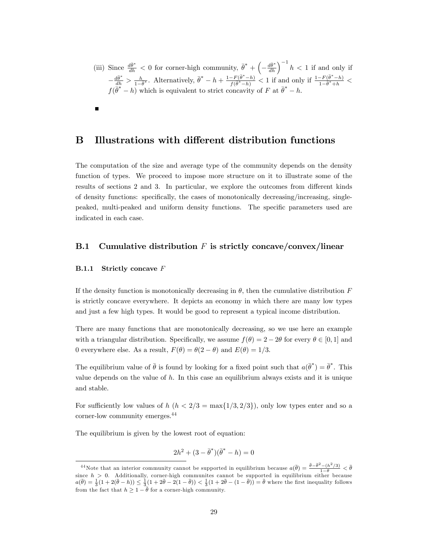(iii) Since  $\frac{d\bar{\theta}^*}{dh} < 0$  for corner-high community,  $\bar{\theta}^* + \left(-\frac{d\bar{\theta}^*}{dh}\right)^{-1} h < 1$  if and only if  $-\frac{d\bar{\theta}^*}{dh} > \frac{h}{1-\bar{\theta}^*}$ . Alternatively,  $\bar{\theta}^* - h + \frac{1-F(\bar{\theta}^*-h)}{f(\bar{\theta}^*-h)}$  $\frac{(-F(\bar{\theta}^*-h))}{f(\bar{\theta}^*-h)} < 1$  if and only if  $\frac{1-F(\bar{\theta}^*-h)}{1-\bar{\theta}^*+h} <$  $f(\vec{\theta}^* - h)$  which is equivalent to strict concavity of F at  $\vec{\theta}^* - h$ .

## B Illustrations with different distribution functions

The computation of the size and average type of the community depends on the density function of types. We proceed to impose more structure on it to illustrate some of the results of sections 2 and 3. In particular, we explore the outcomes from different kinds of density functions: specifically, the cases of monotonically decreasing/increasing, singlepeaked, multi-peaked and uniform density functions. The specific parameters used are indicated in each case.

# B.1 Cumulative distribution  $F$  is strictly concave/convex/linear

#### B.1.1 Strictly concave F

If the density function is monotonically decreasing in  $\theta$ , then the cumulative distribution F is strictly concave everywhere. It depicts an economy in which there are many low types and just a few high types. It would be good to represent a typical income distribution.

There are many functions that are monotonically decreasing, so we use here an example with a triangular distribution. Specifically, we assume  $f(\theta) = 2 - 2\theta$  for every  $\theta \in [0, 1]$  and 0 everywhere else. As a result,  $F(\theta) = \theta(2 - \theta)$  and  $E(\theta) = 1/3$ .

The equilibrium value of  $\bar{\theta}$  is found by looking for a fixed point such that  $a(\bar{\theta}^*) = \bar{\theta}^*$ . This value depends on the value of  $h$ . In this case an equilibrium always exists and it is unique and stable.

For sufficiently low values of h  $(h < 2/3 = \max\{1/3, 2/3\})$ , only low types enter and so a corner-low community emerges.<sup>44</sup>

The equilibrium is given by the lowest root of equation:

$$
2h^2 + (3 - \bar{\theta}^*)(\bar{\theta}^* - h) = 0
$$

<sup>&</sup>lt;sup>44</sup>Note that an interior community cannot be supported in equilibrium because  $a(\bar{\theta}) = \frac{\bar{\theta} - \bar{\theta}^2 - (h^2/3)}{1 - \bar{\theta}} < \bar{\theta}$ since  $h > 0$ . Additionally, corner-high communites cannot be supported in equilibrium either because  $a(\bar{\theta}) = \frac{1}{3}(1 + 2(\bar{\theta} - h)) \leq \frac{1}{3}(1 + 2\bar{\theta} - 2(1 - \bar{\theta})) \leq \frac{1}{3}(1 + 2\bar{\theta} - (1 - \bar{\theta})) = \bar{\theta}$  where the first inequality from the fact that  $h \geq 1 - \overline{\theta}$  for a corner-high community.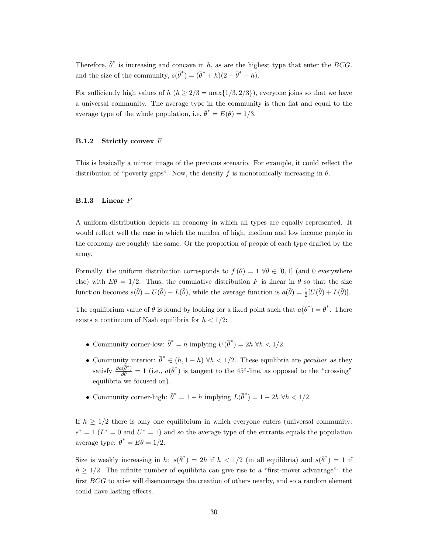Therefore,  $\bar{\theta}^*$  is increasing and concave in h, as are the highest type that enter the BCG. and the size of the community,  $s(\bar{\theta}^*) = (\bar{\theta}^* + h)(2 - \bar{\theta}^* - h)$ .

For sufficiently high values of h ( $h \geq 2/3 = \max\{1/3, 2/3\}$ ), everyone joins so that we have a universal community. The average type in the community is then flat and equal to the average type of the whole population, i.e,  $\bar{\theta}^* = E(\theta) = 1/3$ .

### B.1.2 Strictly convex F

This is basically a mirror image of the previous scenario. For example, it could reflect the distribution of "poverty gaps". Now, the density f is monotonically increasing in  $\theta$ .

#### B.1.3 Linear F

A uniform distribution depicts an economy in which all types are equally represented. It would reflect well the case in which the number of high, medium and low income people in the economy are roughly the same. Or the proportion of people of each type drafted by the army.

Formally, the uniform distribution corresponds to  $f(\theta) = 1 \,\forall \theta \in [0, 1]$  (and 0 everywhere else) with  $E\theta = 1/2$ . Thus, the cumulative distribution F is linear in  $\theta$  so that the size function becomes  $s(\bar{\theta}) = U(\bar{\theta}) - L(\bar{\theta})$ , while the average function is  $a(\bar{\theta}) = \frac{1}{2}[U(\bar{\theta}) + L(\bar{\theta})]$ .

The equilibrium value of  $\bar{\theta}$  is found by looking for a fixed point such that  $a(\bar{\theta}^*) = \bar{\theta}^*$ . There exists a continuum of Nash equilibria for  $h < 1/2$ :

- Community corner-low:  $\bar{\theta}^* = h$  implying  $U(\bar{\theta}^*) = 2h \,\forall h < 1/2$ .
- Community interior:  $\bar{\theta}^* \in (h, 1-h)$   $\forall h < 1/2$ . These equilibria are *peculiar* as they satisfy  $\frac{\partial a(\bar{\theta}^*)}{\partial \bar{\theta}} = 1$  (i.e.,  $a(\bar{\theta}^*)$  is tangent to the 45<sup>o</sup>-line, as opposed to the "crossing" equilibria we focused on).
- Community corner-high:  $\bar{\theta}^* = 1 h$  implying  $L(\bar{\theta}^*) = 1 2h \,\forall h < 1/2$ .

If  $h \geq 1/2$  there is only one equilibrium in which everyone enters (universal community:  $s^* = 1$  ( $L^* = 0$  and  $U^* = 1$ ) and so the average type of the entrants equals the population average type:  $\bar{\theta}^* = E\theta = 1/2$ .

Size is weakly increasing in h:  $s(\bar{\theta}^*) = 2h$  if  $h < 1/2$  (in all equilibria) and  $s(\bar{\theta}^*) = 1$  if  $h > 1/2$ . The infinite number of equilibria can give rise to a "first-mover advantage": the first  $BCG$  to arise will disencourage the creation of others nearby, and so a random element could have lasting effects.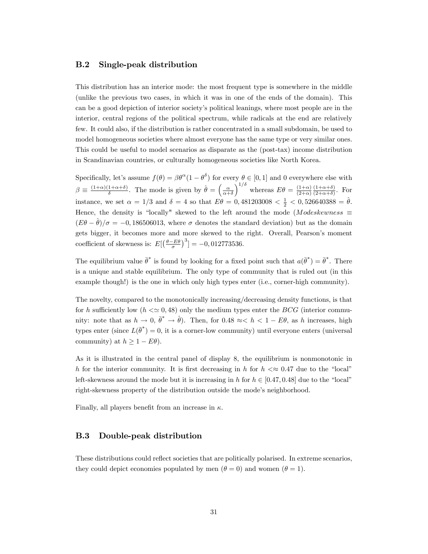### B.2 Single-peak distribution

This distribution has an interior mode: the most frequent type is somewhere in the middle (unlike the previous two cases, in which it was in one of the ends of the domain). This can be a good depiction of interior societyís political leanings, where most people are in the interior, central regions of the political spectrum, while radicals at the end are relatively few. It could also, if the distribution is rather concentrated in a small subdomain, be used to model homogeneous societies where almost everyone has the same type or very similar ones. This could be useful to model scenarios as disparate as the (post-tax) income distribution in Scandinavian countries, or culturally homogeneous societies like North Korea.

Specifically, let's assume  $f(\theta) = \beta \theta^{\alpha} (1 - \theta^{\delta})$  for every  $\theta \in [0, 1]$  and 0 everywhere else with  $\beta \equiv \frac{(1+\alpha)(1+\alpha+\delta)}{\delta}$  $\frac{1+\alpha+\delta}{\delta}$ . The mode is given by  $\hat{\theta} = \left(\frac{\alpha}{\alpha+\delta}\right)$  $\int_0^{1/\delta}$  whereas  $E\theta = \frac{(1+\alpha)}{(2+\alpha)}$  $(2+\alpha)$  $(1+\alpha+\delta)$  $\frac{(1+\alpha+\delta)}{(2+\alpha+\delta)}$ . For instance, we set  $\alpha = 1/3$  and  $\delta = 4$  so that  $E\theta = 0,481203008 < \frac{1}{2} < 0,526640388 = \hat{\theta}$ . Hence, the density is "locally" skewed to the left around the mode (Modeskewness  $\equiv$  $(E \theta - \hat{\theta})/\sigma = -0, 186506013$ , where  $\sigma$  denotes the standard deviation) but as the domain gets bigger, it becomes more and more skewed to the right. Overall, Pearson's moment coefficient of skewness is:  $E[(\frac{\theta - E\theta}{\sigma})^3] = -0,012773536$ .

The equilibrium value  $\bar{\theta}^*$  is found by looking for a fixed point such that  $a(\bar{\theta}^*) = \bar{\theta}^*$ . There is a unique and stable equilibrium. The only type of community that is ruled out (in this example though!) is the one in which only high types enter (i.e., corner-high community).

The novelty, compared to the monotonically increasing/decreasing density functions, is that for h sufficiently low  $(h \ll 0.48)$  only the medium types enter the BCG (interior community: note that as  $h \to 0$ ,  $\bar{\theta}^* \to \hat{\theta}$ ). Then, for 0.48  $\approx < h < 1 - E\theta$ , as h increases, high types enter (since  $L(\bar{\theta}^*) = 0$ , it is a corner-low community) until everyone enters (universal community) at  $h \geq 1 - E\theta$ .

As it is illustrated in the central panel of display 8, the equilibrium is nonmonotonic in h for the interior community. It is first decreasing in h for  $h < \infty$  0.47 due to the "local" left-skewness around the mode but it is increasing in h for  $h \in [0.47, 0.48]$  due to the "local" right-skewness property of the distribution outside the mode's neighborhood.

Finally, all players benefit from an increase in  $\kappa$ .

### B.3 Double-peak distribution

These distributions could reflect societies that are politically polarised. In extreme scenarios, they could depict economies populated by men  $(\theta = 0)$  and women  $(\theta = 1)$ .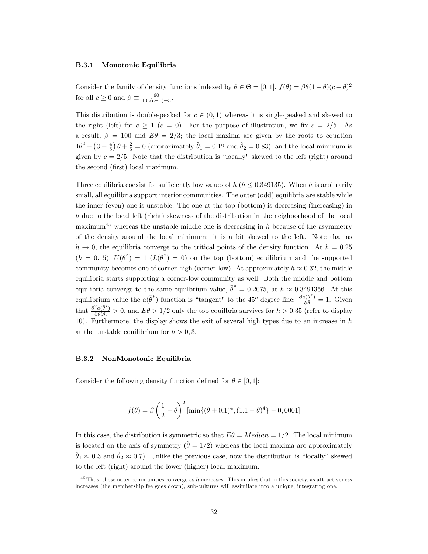#### B.3.1 Monotonic Equilibria

Consider the family of density functions indexed by  $\theta \in \Theta = [0, 1], f(\theta) = \beta \theta (1 - \theta)(c - \theta)^2$ for all  $c \geq 0$  and  $\beta \equiv \frac{60}{10c(c-1)+3}$ .

This distribution is double-peaked for  $c \in (0, 1)$  whereas it is single-peaked and skewed to the right (left) for  $c \geq 1$  ( $c = 0$ ). For the purpose of illustration, we fix  $c = 2/5$ . As a result,  $\beta = 100$  and  $E\theta = 2/3$ ; the local maxima are given by the roots to equation  $4\theta^2 - \left(3 + \frac{4}{5}\right)\theta + \frac{2}{5} = 0$  (approximately  $\hat{\theta}_1 = 0.12$  and  $\hat{\theta}_2 = 0.83$ ); and the local minimum is given by  $c = 2/5$ . Note that the distribution is "locally" skewed to the left (right) around the second (first) local maximum.

Three equilibria coexist for sufficiently low values of h ( $h \leq 0.349135$ ). When h is arbitrarily small, all equilibria support interior communities. The outer (odd) equilibria are stable while the inner (even) one is unstable. The one at the top (bottom) is decreasing (increasing) in  $h$  due to the local left (right) skewness of the distribution in the neighborhood of the local maximum<sup>45</sup> whereas the unstable middle one is decreasing in  $h$  because of the asymmetry of the density around the local minimum: it is a bit skewed to the left. Note that as  $h \rightarrow 0$ , the equilibria converge to the critical points of the density function. At  $h = 0.25$  $(h = 0.15), U(\bar{\theta}^*) = 1 \ (L(\bar{\theta}^*) = 0)$  on the top (bottom) equilibrium and the supported community becomes one of corner-high (corner-low). At approximately  $h \approx 0.32$ , the middle equilibria starts supporting a corner-low community as well. Both the middle and bottom equilibria converge to the same equilbrium value,  $\bar{\theta}^* = 0.2075$ , at  $h \approx 0.3491356$ . At this equilibrium value the  $a(\bar{\theta}^*)$  function is "tangent" to the 45<sup>o</sup> degree line:  $\frac{\partial a(\bar{\theta}^*)}{\partial \bar{\theta}} = 1$ . Given that  $\frac{\partial^2 a(\bar{\theta}^*)}{\partial \bar{\theta} \partial h} > 0$ , and  $E\theta > 1/2$  only the top equilibria survives for  $h > 0.35$  (refer to display 10). Furthermore, the display shows the exit of several high types due to an increase in  $h$ at the unstable equilibrium for  $h > 0, 3$ .

#### B.3.2 NonMonotonic Equilibria

Consider the following density function defined for  $\theta \in [0, 1]$ :

$$
f(\theta) = \beta \left(\frac{1}{2} - \theta\right)^2 \left[\min\{(\theta + 0.1)^4, (1.1 - \theta)^4\} - 0,0001\right]
$$

In this case, the distribution is symmetric so that  $E\theta = Median = 1/2$ . The local minimum is located on the axis of symmetry  $(\check{\theta} = 1/2)$  whereas the local maxima are approximately  $\hat{\theta}_1 \approx 0.3$  and  $\hat{\theta}_2 \approx 0.7$ ). Unlike the previous case, now the distribution is "locally" skewed to the left (right) around the lower (higher) local maximum.

 $^{45}$ Thus, these outer communities converge as h increases. This implies that in this society, as attractiveness increases (the membership fee goes down), sub-cultures will assimilate into a unique, integrating one.